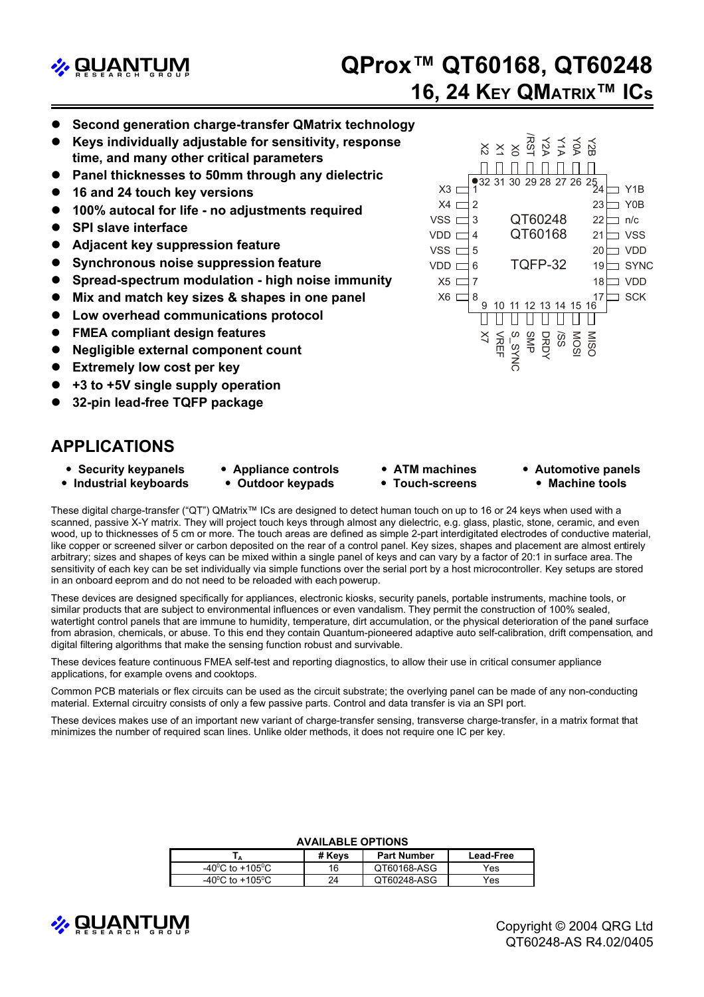

# **<sup>2</sup> QProx™ QT60168, QT60248 16, 24 KEY QMATRIX™ ICs**

- **Second generation charge-transfer QMatrix technology**
- z **Keys individually adjustable for sensitivity, response time, and many other critical parameters**
- **Panel thicknesses to 50mm through any dielectric**
- **16 and 24 touch key versions**
- 100% autocal for life no adjustments required
- **SPI slave interface**
- z **Adjacent key suppression feature**
- **Synchronous noise suppression feature**
- **Spread-spectrum modulation high noise immunity**
- **Mix and match key sizes & shapes in one panel**
- Low overhead communications protocol
- **FMEA compliant design features**
- **Negligible external component count**
- **Extremely low cost per key**
- z **+3 to +5V single supply operation**
- z **32-pin lead-free TQFP package**

## **APPLICATIONS**

- **Security keypanels • Industrial keyboards**
- **Appliance controls • Outdoor keypads**
- y **ATM machines**
	- **Touch-screens**
- **Automotive panels** • Machine tools

These digital charge-transfer ("QT") QMatrix™ ICs are designed to detect human touch on up to 16 or 24 keys when used with a scanned, passive X-Y matrix. They will project touch keys through almost any dielectric, e.g. glass, plastic, stone, ceramic, and even wood, up to thicknesses of 5 cm or more. The touch areas are defined as simple 2-part interdigitated electrodes of conductive material, like copper or screened silver or carbon deposited on the rear of a control panel. Key sizes, shapes and placement are almost entirely arbitrary; sizes and shapes of keys can be mixed within a single panel of keys and can vary by a factor of 20:1 in surface area. The sensitivity of each key can be set individually via simple functions over the serial port by a host microcontroller. Key setups are stored in an onboard eeprom and do not need to be reloaded with each powerup.

These devices are designed specifically for appliances, electronic kiosks, security panels, portable instruments, machine tools, or similar products that are subject to environmental influences or even vandalism. They permit the construction of 100% sealed, watertight control panels that are immune to humidity, temperature, dirt accumulation, or the physical deterioration of the panel surface from abrasion, chemicals, or abuse. To this end they contain Quantum-pioneered adaptive auto self-calibration, drift compensation, and digital filtering algorithms that make the sensing function robust and survivable.

These devices feature continuous FMEA self-test and reporting diagnostics, to allow their use in critical consumer appliance applications, for example ovens and cooktops.

Common PCB materials or flex circuits can be used as the circuit substrate; the overlying panel can be made of any non-conducting material. External circuitry consists of only a few passive parts. Control and data transfer is via an SPI port.

These devices makes use of an important new variant of charge-transfer sensing, transverse charge-transfer, in a matrix format that minimizes the number of required scan lines. Unlike older methods, it does not require one IC per key.

| AVAILADLL OF HONG                         |        |                    |           |
|-------------------------------------------|--------|--------------------|-----------|
|                                           | # Kevs | <b>Part Number</b> | Lead-Free |
| -40 <sup>°</sup> C to +105 <sup>°</sup> C | 16     | QT60168-ASG        | Yes       |
| $-40^{\circ}$ C to $+105^{\circ}$ C       | 24     | QT60248-ASG        | Yes       |

#### **AVAILABLE OPTIONS**



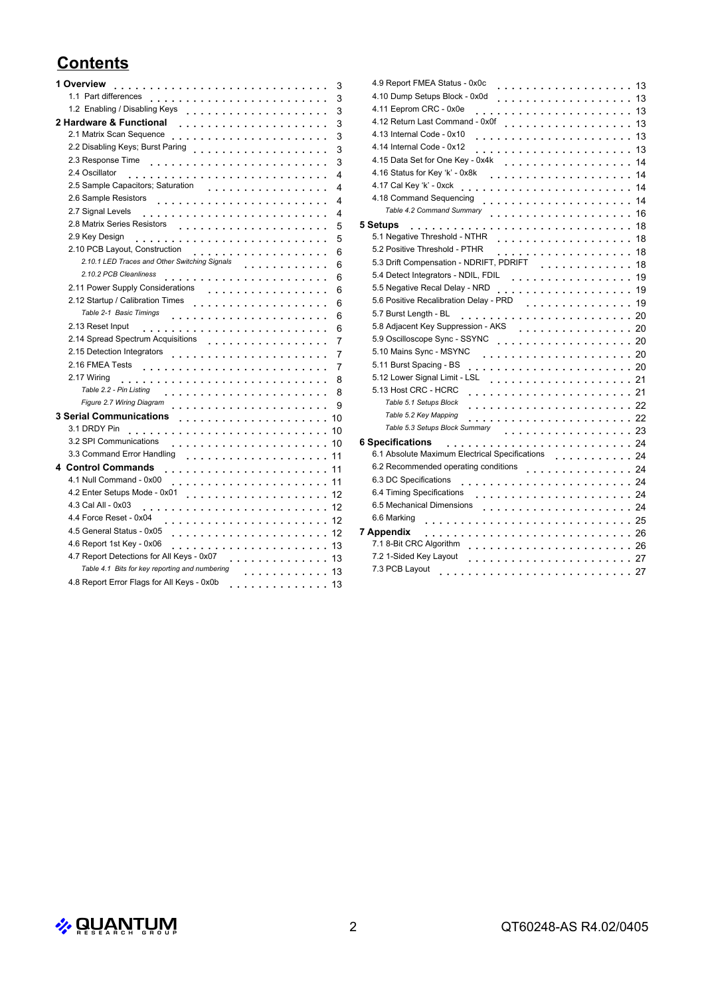# **Contents**

|   | 1 Overview<br>.                                                       | 3  |
|---|-----------------------------------------------------------------------|----|
|   | 1.1 Part differences                                                  | 3  |
|   | 1.2 Enabling / Disabling Keys                                         | 3  |
|   | 2 Hardware & Functional<br>.                                          | 3  |
|   | 2.1 Matrix Scan Sequence<br>.                                         | 3  |
|   | 2.2 Disabling Keys; Burst Paring<br>.                                 | 3  |
|   | 2.3 Response Time                                                     | 3  |
|   | 2.4 Oscillator                                                        | 4  |
|   | 2.5 Sample Capacitors; Saturation                                     | 4  |
|   | 2.6 Sample Resistors                                                  | 4  |
|   | 2.7 Signal Levels                                                     | 4  |
|   | 2.8 Matrix Series Resistors                                           | 5  |
|   | 2.9 Key Design                                                        | 5  |
|   | 2.10 PCB Layout, Construction<br>.                                    | 6  |
|   | 2.10.1 LED Traces and Other Switching Signals                         | 6  |
|   | 2.10.2 PCB Cleanliness                                                | 6  |
|   | 2.11 Power Supply Considerations                                      | 6  |
|   |                                                                       | 6  |
|   | Table 2-1 Basic Timings                                               | 6  |
|   | 2.13 Reset Input                                                      | 6  |
|   | 2.14 Spread Spectrum Acquisitions<br>.                                | 7  |
|   | 2.15 Detection Integrators                                            | 7  |
|   | 2.16 FMEA Tests<br>$\sim$<br>.                                        | 7  |
|   | 2.17 Wiring                                                           | 8  |
|   | Table 2.2 - Pin Listing                                               | 8  |
|   | Figure 2.7 Wiring Diagram<br>.                                        | 9  |
|   | <b>3 Serial Communications</b><br>.                                   | 10 |
|   | 3.1 DRDY Pin                                                          | 10 |
|   | 3.2 SPI Communications<br>.                                           | 10 |
|   | 3.3 Command Error Handling                                            | 11 |
| 4 | <b>Control Commands</b>                                               | 11 |
|   | 4.1 Null Command - 0x00                                               | 11 |
|   | 4.2 Enter Setups Mode - 0x01                                          | 12 |
|   | 4.3 Cal All - 0x03                                                    | 12 |
|   | 4.4 Force Reset - 0x04                                                | 12 |
|   | 4.5 General Status - 0x05                                             | 12 |
|   | 4.6 Report 1st Key - 0x06<br>.                                        | 13 |
|   | 4.7 Report Detections for All Keys - 0x07                             | 13 |
|   | Table 4.1 Bits for key reporting and numbering<br>.                   | 13 |
|   | 4.8 Report Error Flags for All Keys - 0x0b<br>dia anala anala anala a | 13 |
|   |                                                                       |    |

|          | 4.9 Report FMEA Status - 0x0c<br>.                     | 13 |
|----------|--------------------------------------------------------|----|
|          | 4.10 Dump Setups Block - 0x0d<br>.                     | 13 |
|          | 4.11 Eeprom CRC - 0x0e<br>. 13                         |    |
|          | 4.12 Return Last Command - 0x0f<br>. 13                |    |
|          | 4.13 Internal Code - 0x10                              | 13 |
|          | 4.14 Internal Code - 0x12                              | 13 |
|          | 4.15 Data Set for One Key - 0x4k                       | 14 |
|          | 4.16 Status for Key 'k' - 0x8k                         | 14 |
|          | 4.17 Cal Key 'k' - 0xck                                |    |
|          | 4.18 Command Sequencing                                | 14 |
|          | Table 4.2 Command Summary<br>. 16                      |    |
| 5 Setups | 18                                                     |    |
|          | 5.1 Negative Threshold - NTHR<br>. 18                  |    |
|          | 5.2 Positive Threshold - PTHR                          |    |
|          | 5.3 Drift Compensation - NDRIFT, PDRIFT<br>. 18        |    |
|          | 5.4 Detect Integrators - NDIL, FDIL<br>.               | 19 |
|          | 5.5 Negative Recal Delay - NRD                         | 19 |
|          | 5.6 Positive Recalibration Delay - PRD                 | 19 |
|          | 5.7 Burst Length - BL                                  |    |
|          | 5.8 Adjacent Key Suppression - AKS<br>. 20             |    |
|          | 5.9 Oscilloscope Sync - SSYNC<br>. 20                  |    |
|          | 5.10 Mains Sync - MSYNC                                |    |
|          | 5.11 Burst Spacing - BS                                |    |
|          | 5.12 Lower Signal Limit - LSL                          |    |
|          | 5.13 Host CRC - HCRC                                   |    |
|          | Table 5.1 Setups Block                                 |    |
|          | Table 5.2 Key Mapping                                  |    |
|          | Table 5.3 Setups Block Summary<br>. 23                 |    |
|          | <b>6 Specifications</b>                                |    |
|          | 6.1 Absolute Maximum Electrical Specifications<br>. 24 |    |
|          | 6.2 Recommended operating conditions<br>. 24           |    |
|          | 6.3 DC Specifications                                  |    |
|          | 6.4 Timing Specifications                              |    |
|          | 6.5 Mechanical Dimensions                              |    |
|          | 6.6 Marking                                            |    |
|          | 7 Appendix                                             |    |
|          | 7.1 8-Bit CRC Algorithm                                |    |
|          | 7.2 1-Sided Key Layout                                 |    |
|          | 7.3 PCB Layout<br>.27                                  |    |
|          |                                                        |    |

 $\rightarrow$  QUANTUM 2 QT60248-AS R4.02/0405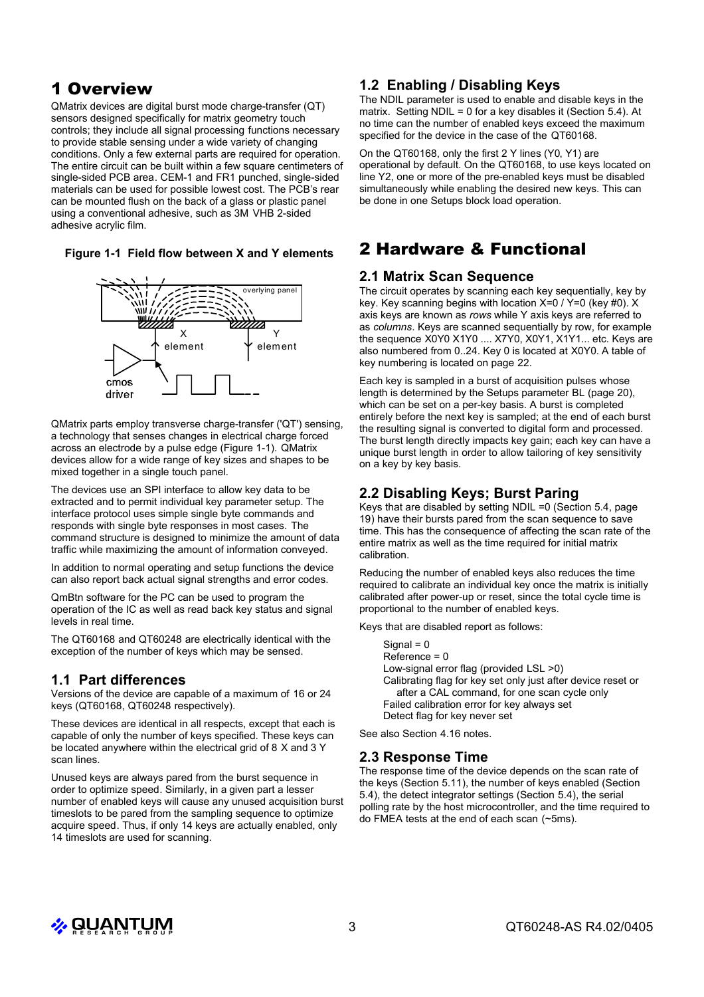## 1 Overview

QMatrix devices are digital burst mode charge-transfer (QT) sensors designed specifically for matrix geometry touch controls; they include all signal processing functions necessary to provide stable sensing under a wide variety of changing conditions. Only a few external parts are required for operation. The entire circuit can be built within a few square centimeters of single-sided PCB area. CEM-1 and FR1 punched, single-sided materials can be used for possible lowest cost. The PCB's rear can be mounted flush on the back of a glass or plastic panel using a conventional adhesive, such as 3M VHB 2-sided adhesive acrylic film.

#### **Figure 1-1 Field flow between X and Y elements**



QMatrix parts employ transverse charge-transfer ('QT') sensing, a technology that senses changes in electrical charge forced across an electrode by a pulse edge (Figure 1-1). QMatrix devices allow for a wide range of key sizes and shapes to be mixed together in a single touch panel.

The devices use an SPI interface to allow key data to be extracted and to permit individual key parameter setup. The interface protocol uses simple single byte commands and responds with single byte responses in most cases. The command structure is designed to minimize the amount of data traffic while maximizing the amount of information conveyed.

In addition to normal operating and setup functions the device can also report back actual signal strengths and error codes.

QmBtn software for the PC can be used to program the operation of the IC as well as read back key status and signal levels in real time.

The QT60168 and QT60248 are electrically identical with the exception of the number of keys which may be sensed.

## **1.1 Part differences**

Versions of the device are capable of a maximum of 16 or 24 keys (QT60168, QT60248 respectively).

These devices are identical in all respects, except that each is capable of only the number of keys specified. These keys can be located anywhere within the electrical grid of 8 X and 3 Y scan lines.

Unused keys are always pared from the burst sequence in order to optimize speed. Similarly, in a given part a lesser number of enabled keys will cause any unused acquisition burst timeslots to be pared from the sampling sequence to optimize acquire speed. Thus, if only 14 keys are actually enabled, only 14 timeslots are used for scanning.

## **1.2 Enabling / Disabling Keys**

The NDIL parameter is used to enable and disable keys in the matrix. Setting NDIL = 0 for a key disables it (Section 5.4). At no time can the number of enabled keys exceed the maximum specified for the device in the case of the QT60168.

On the QT60168, only the first 2 Y lines (Y0, Y1) are operational by default. On the QT60168, to use keys located on line Y2, one or more of the pre-enabled keys must be disabled simultaneously while enabling the desired new keys. This can be done in one Setups block load operation.

## 2 Hardware & Functional

#### **2.1 Matrix Scan Sequence**

The circuit operates by scanning each key sequentially, key by key. Key scanning begins with location X=0 / Y=0 (key #0). X axis keys are known as *rows* while Y axis keys are referred to as *columns*. Keys are scanned sequentially by row, for example the sequence X0Y0 X1Y0 .... X7Y0, X0Y1, X1Y1... etc. Keys are also numbered from 0..24. Key 0 is located at X0Y0. A table of key numbering is located on page 22.

Each key is sampled in a burst of acquisition pulses whose length is determined by the Setups parameter BL (page 20), which can be set on a per-key basis. A burst is completed entirely before the next key is sampled; at the end of each burst the resulting signal is converted to digital form and processed. The burst length directly impacts key gain; each key can have a unique burst length in order to allow tailoring of key sensitivity on a key by key basis.

## **2.2 Disabling Keys; Burst Paring**

Keys that are disabled by setting NDIL =0 (Section 5.4, page 19) have their bursts pared from the scan sequence to save time. This has the consequence of affecting the scan rate of the entire matrix as well as the time required for initial matrix calibration.

Reducing the number of enabled keys also reduces the time required to calibrate an individual key once the matrix is initially calibrated after power-up or reset, since the total cycle time is proportional to the number of enabled keys.

Keys that are disabled report as follows:

 $Signal = 0$ Reference = 0 Low-signal error flag (provided LSL >0) Calibrating flag for key set only just after device reset or after a CAL command, for one scan cycle only Failed calibration error for key always set Detect flag for key never set

See also Section 4.16 notes.

## **2.3 Response Time**

The response time of the device depends on the scan rate of the keys (Section 5.11), the number of keys enabled (Section 5.4), the detect integrator settings (Section 5.4), the serial polling rate by the host microcontroller, and the time required to do FMEA tests at the end of each scan (~5ms).

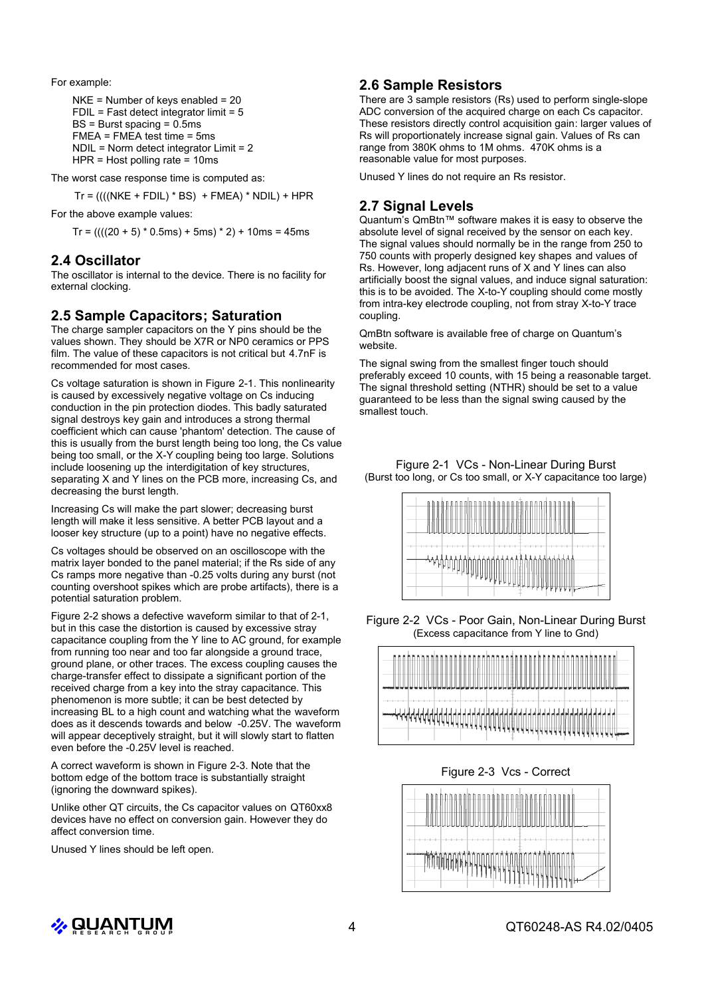For example:

```
NKF = Number of keys enabled = 20FDIL = Fast detect integrator limit = 5BS = Burst spacing = 0.5ms
FMEA = FMEA test time = 5ms
NDIL = Norm detect integrator Limit = 2
HPR = Host polling rate = 10ms
```
The worst case response time is computed as:

 $Tr = (((NKE + FDIL) * BS) + FMEA) * NDIL) + HPR$ 

For the above example values:

 $Tr = (((20 + 5) * 0.5 \text{ms}) + 5 \text{ms}) * 2) + 10 \text{ms} = 45 \text{ms}$ 

#### **2.4 Oscillator**

The oscillator is internal to the device. There is no facility for external clocking.

#### **2.5 Sample Capacitors; Saturation**

The charge sampler capacitors on the Y pins should be the values shown. They should be X7R or NP0 ceramics or PPS film. The value of these capacitors is not critical but 4.7nF is recommended for most cases.

Cs voltage saturation is shown in Figure 2-1. This nonlinearity is caused by excessively negative voltage on Cs inducing conduction in the pin protection diodes. This badly saturated signal destroys key gain and introduces a strong thermal coefficient which can cause 'phantom' detection. The cause of this is usually from the burst length being too long, the Cs value being too small, or the X-Y coupling being too large. Solutions include loosening up the interdigitation of key structures, separating X and Y lines on the PCB more, increasing Cs, and decreasing the burst length.

Increasing Cs will make the part slower; decreasing burst length will make it less sensitive. A better PCB layout and a looser key structure (up to a point) have no negative effects.

Cs voltages should be observed on an oscilloscope with the matrix layer bonded to the panel material; if the Rs side of any Cs ramps more negative than -0.25 volts during any burst (not counting overshoot spikes which are probe artifacts), there is a potential saturation problem.

Figure 2-2 shows a defective waveform similar to that of 2-1, but in this case the distortion is caused by excessive stray capacitance coupling from the Y line to AC ground, for example from running too near and too far alongside a ground trace, ground plane, or other traces. The excess coupling causes the charge-transfer effect to dissipate a significant portion of the received charge from a key into the stray capacitance. This phenomenon is more subtle; it can be best detected by increasing BL to a high count and watching what the waveform does as it descends towards and below -0.25V. The waveform will appear deceptively straight, but it will slowly start to flatten even before the -0.25V level is reached.

A correct waveform is shown in Figure 2-3. Note that the bottom edge of the bottom trace is substantially straight (ignoring the downward spikes).

Unlike other QT circuits, the Cs capacitor values on QT60xx8 devices have no effect on conversion gain. However they do affect conversion time.

Unused Y lines should be left open.

## **2.6 Sample Resistors**

There are 3 sample resistors (Rs) used to perform single-slope ADC conversion of the acquired charge on each Cs capacitor. These resistors directly control acquisition gain: larger values of Rs will proportionately increase signal gain. Values of Rs can range from 380K ohms to 1M ohms. 470K ohms is a reasonable value for most purposes.

Unused Y lines do not require an Rs resistor.

#### **2.7 Signal Levels**

Quantum's QmBtn™ software makes it is easy to observe the absolute level of signal received by the sensor on each key. The signal values should normally be in the range from 250 to 750 counts with properly designed key shapes and values of Rs. However, long adjacent runs of X and Y lines can also artificially boost the signal values, and induce signal saturation: this is to be avoided. The X-to-Y coupling should come mostly from intra-key electrode coupling, not from stray X-to-Y trace coupling.

QmBtn software is available free of charge on Quantum's website.

The signal swing from the smallest finger touch should preferably exceed 10 counts, with 15 being a reasonable target. The signal threshold setting (NTHR) should be set to a value guaranteed to be less than the signal swing caused by the smallest touch.

Figure 2-1 VCs - Non-Linear During Burst (Burst too long, or Cs too small, or X-Y capacitance too large)



Figure 2-2 VCs - Poor Gain, Non-Linear During Burst (Excess capacitance from Y line to Gnd)



Figure 2-3 Vcs - Correct



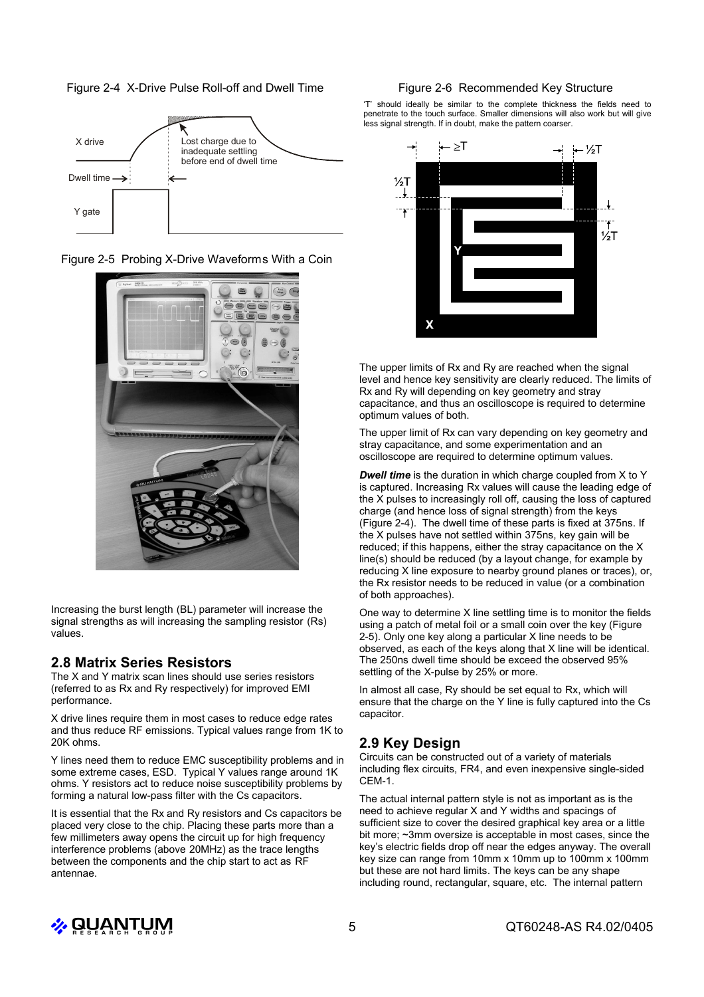Figure 2-4 X-Drive Pulse Roll-off and Dwell Time



Figure 2-5 Probing X-Drive Waveforms With a Coin



Increasing the burst length (BL) parameter will increase the signal strengths as will increasing the sampling resistor (Rs) values.

## **2.8 Matrix Series Resistors**

The X and Y matrix scan lines should use series resistors (referred to as Rx and Ry respectively) for improved EMI performance.

X drive lines require them in most cases to reduce edge rates and thus reduce RF emissions. Typical values range from 1K to 20K ohms.

Y lines need them to reduce EMC susceptibility problems and in some extreme cases, ESD. Typical Y values range around 1K ohms. Y resistors act to reduce noise susceptibility problems by forming a natural low-pass filter with the Cs capacitors.

It is essential that the Rx and Ry resistors and Cs capacitors be placed very close to the chip. Placing these parts more than a few millimeters away opens the circuit up for high frequency interference problems (above 20MHz) as the trace lengths between the components and the chip start to act as RF antennae.

#### Figure 2-6 Recommended Key Structure

'T' should ideally be similar to the complete thickness the fields need to penetrate to the touch surface. Smaller dimensions will also work but will give less signal strength. If in doubt, make the pattern coarser.



The upper limits of Rx and Ry are reached when the signal level and hence key sensitivity are clearly reduced. The limits of Rx and Ry will depending on key geometry and stray capacitance, and thus an oscilloscope is required to determine optimum values of both.

The upper limit of Rx can vary depending on key geometry and stray capacitance, and some experimentation and an oscilloscope are required to determine optimum values.

*Dwell time* is the duration in which charge coupled from X to Y is captured. Increasing Rx values will cause the leading edge of the X pulses to increasingly roll off, causing the loss of captured charge (and hence loss of signal strength) from the keys (Figure 2-4). The dwell time of these parts is fixed at 375ns. If the X pulses have not settled within 375ns, key gain will be reduced; if this happens, either the stray capacitance on the X line(s) should be reduced (by a layout change, for example by reducing X line exposure to nearby ground planes or traces), or, the Rx resistor needs to be reduced in value (or a combination of both approaches).

One way to determine X line settling time is to monitor the fields using a patch of metal foil or a small coin over the key (Figure 2-5). Only one key along a particular X line needs to be observed, as each of the keys along that X line will be identical. The 250ns dwell time should be exceed the observed 95% settling of the X-pulse by 25% or more.

In almost all case, Ry should be set equal to Rx, which will ensure that the charge on the Y line is fully captured into the Cs capacitor.

## **2.9 Key Design**

Circuits can be constructed out of a variety of materials including flex circuits, FR4, and even inexpensive single-sided CEM-1.

The actual internal pattern style is not as important as is the need to achieve regular X and Y widths and spacings of sufficient size to cover the desired graphical key area or a little bit more; ~3mm oversize is acceptable in most cases, since the key's electric fields drop off near the edges anyway. The overall key size can range from 10mm x 10mm up to 100mm x 100mm but these are not hard limits. The keys can be any shape including round, rectangular, square, etc. The internal pattern

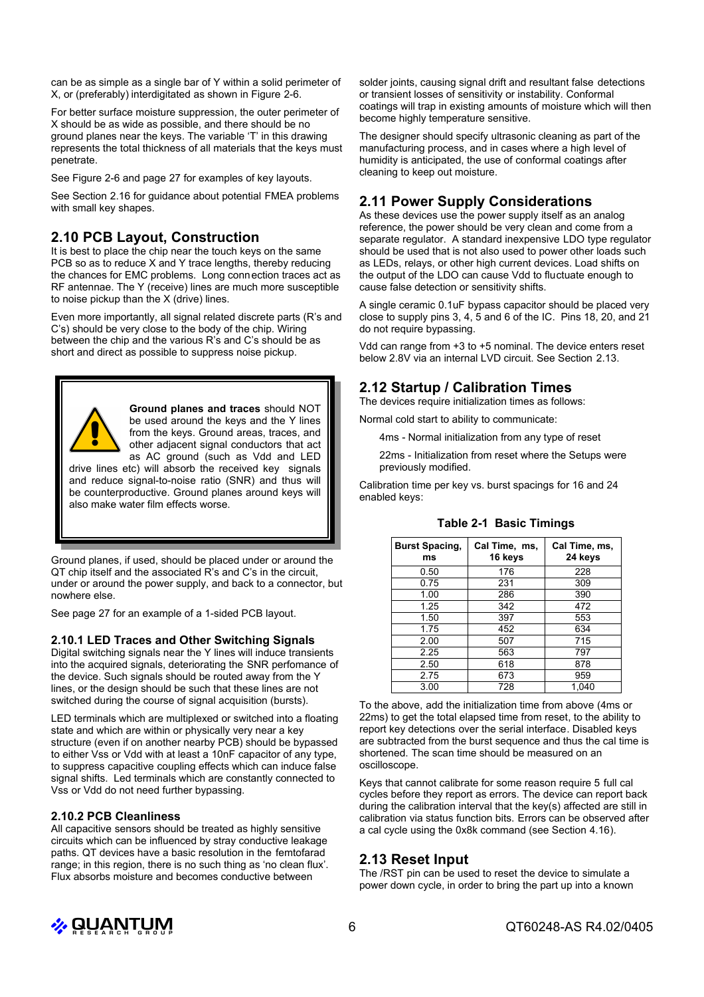can be as simple as a single bar of Y within a solid perimeter of X, or (preferably) interdigitated as shown in Figure 2-6.

For better surface moisture suppression, the outer perimeter of X should be as wide as possible, and there should be no ground planes near the keys. The variable 'T' in this drawing represents the total thickness of all materials that the keys must penetrate.

See Figure 2-6 and page 27 for examples of key layouts.

See Section 2.16 for guidance about potential FMEA problems with small key shapes.

## **2.10 PCB Layout, Construction**

It is best to place the chip near the touch keys on the same PCB so as to reduce X and Y trace lengths, thereby reducing the chances for EMC problems. Long connection traces act as RF antennae. The Y (receive) lines are much more susceptible to noise pickup than the X (drive) lines.

Even more importantly, all signal related discrete parts (R's and C's) should be very close to the body of the chip. Wiring between the chip and the various R's and C's should be as short and direct as possible to suppress noise pickup.



**Ground planes and traces** should NOT be used around the keys and the Y lines from the keys. Ground areas, traces, and other adjacent signal conductors that act as AC ground (such as Vdd and LED

drive lines etc) will absorb the received key signals and reduce signal-to-noise ratio (SNR) and thus will be counterproductive. Ground planes around keys will also make water film effects worse.

Ground planes, if used, should be placed under or around the QT chip itself and the associated R's and C's in the circuit, under or around the power supply, and back to a connector, but nowhere else.

See page 27 for an example of a 1-sided PCB layout.

#### **2.10.1 LED Traces and Other Switching Signals**

Digital switching signals near the Y lines will induce transients into the acquired signals, deteriorating the SNR perfomance of the device. Such signals should be routed away from the Y lines, or the design should be such that these lines are not switched during the course of signal acquisition (bursts).

LED terminals which are multiplexed or switched into a floating state and which are within or physically very near a key structure (even if on another nearby PCB) should be bypassed to either Vss or Vdd with at least a 10nF capacitor of any type, to suppress capacitive coupling effects which can induce false signal shifts. Led terminals which are constantly connected to Vss or Vdd do not need further bypassing.

#### **2.10.2 PCB Cleanliness**

All capacitive sensors should be treated as highly sensitive circuits which can be influenced by stray conductive leakage paths. QT devices have a basic resolution in the femtofarad range; in this region, there is no such thing as 'no clean flux'. Flux absorbs moisture and becomes conductive between

solder joints, causing signal drift and resultant false detections or transient losses of sensitivity or instability. Conformal coatings will trap in existing amounts of moisture which will then become highly temperature sensitive.

The designer should specify ultrasonic cleaning as part of the manufacturing process, and in cases where a high level of humidity is anticipated, the use of conformal coatings after cleaning to keep out moisture.

## **2.11 Power Supply Considerations**

As these devices use the power supply itself as an analog reference, the power should be very clean and come from a separate regulator. A standard inexpensive LDO type regulator should be used that is not also used to power other loads such as LEDs, relays, or other high current devices. Load shifts on the output of the LDO can cause Vdd to fluctuate enough to cause false detection or sensitivity shifts.

A single ceramic 0.1uF bypass capacitor should be placed very close to supply pins 3, 4, 5 and 6 of the IC. Pins 18, 20, and 21 do not require bypassing.

Vdd can range from +3 to +5 nominal. The device enters reset below 2.8V via an internal LVD circuit. See Section 2.13.

## **2.12 Startup / Calibration Times**

The devices require initialization times as follows:

Normal cold start to ability to communicate:

4ms - Normal initialization from any type of reset

22ms - Initialization from reset where the Setups were previously modified.

Calibration time per key vs. burst spacings for 16 and 24 enabled keys:

| <b>Burst Spacing,</b><br>ms | Cal Time, ms,<br>16 keys | Cal Time, ms,<br>24 keys |
|-----------------------------|--------------------------|--------------------------|
| 0.50                        | 176                      | 228                      |
| 0.75                        | 231                      | 309                      |
| 1.00                        | 286                      | 390                      |
| 1.25                        | 342                      | 472                      |
| 1.50                        | 397                      | 553                      |
| 1.75                        | 452                      | 634                      |
| 2.00                        | 507                      | 715                      |
| 2.25                        | 563                      | 797                      |
| 2.50                        | 618                      | 878                      |
| 2.75                        | 673                      | 959                      |
| 3.00                        | 728                      | 1.040                    |

#### **Table 2-1 Basic Timings**

To the above, add the initialization time from above (4ms or 22ms) to get the total elapsed time from reset, to the ability to report key detections over the serial interface. Disabled keys are subtracted from the burst sequence and thus the cal time is shortened. The scan time should be measured on an oscilloscope.

Keys that cannot calibrate for some reason require 5 full cal cycles before they report as errors. The device can report back during the calibration interval that the key(s) affected are still in calibration via status function bits. Errors can be observed after a cal cycle using the 0x8k command (see Section 4.16).

## **2.13 Reset Input**

The /RST pin can be used to reset the device to simulate a power down cycle, in order to bring the part up into a known

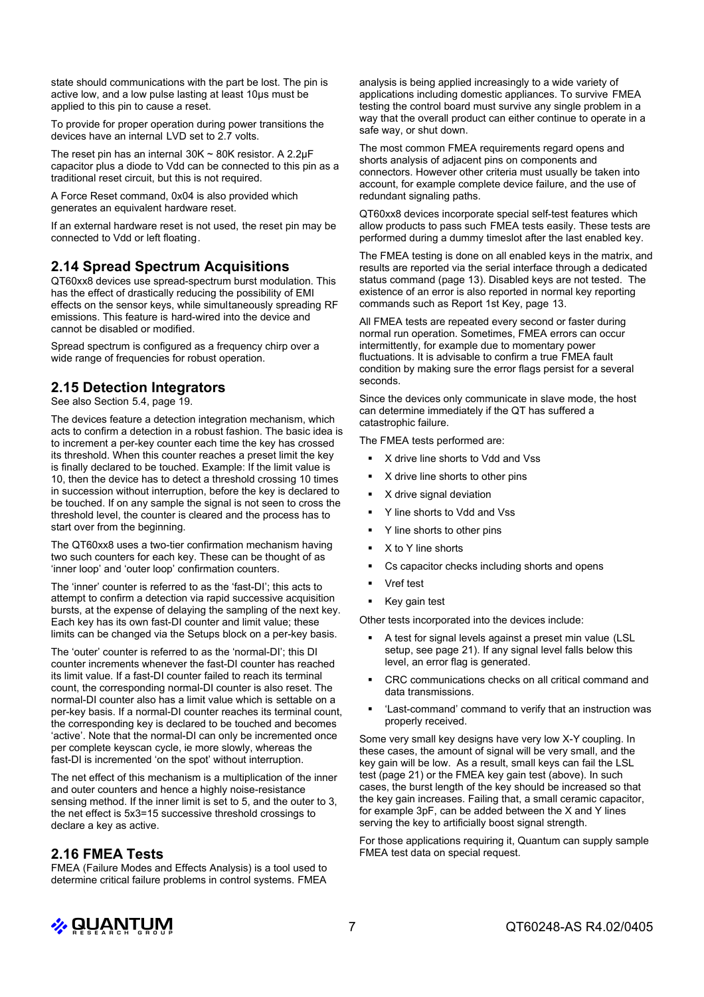state should communications with the part be lost. The pin is active low, and a low pulse lasting at least 10µs must be applied to this pin to cause a reset.

To provide for proper operation during power transitions the devices have an internal LVD set to 2.7 volts.

The reset pin has an internal  $30K \sim 80K$  resistor. A 2.2 $\mu$ F capacitor plus a diode to Vdd can be connected to this pin as a traditional reset circuit, but this is not required.

A Force Reset command, 0x04 is also provided which generates an equivalent hardware reset.

If an external hardware reset is not used, the reset pin may be connected to Vdd or left floating.

#### **2.14 Spread Spectrum Acquisitions**

QT60xx8 devices use spread-spectrum burst modulation. This has the effect of drastically reducing the possibility of EMI effects on the sensor keys, while simultaneously spreading RF emissions. This feature is hard-wired into the device and cannot be disabled or modified.

Spread spectrum is configured as a frequency chirp over a wide range of frequencies for robust operation.

## **2.15 Detection Integrators**

See also Section 5.4, page 19.

The devices feature a detection integration mechanism, which acts to confirm a detection in a robust fashion. The basic idea is to increment a per-key counter each time the key has crossed its threshold. When this counter reaches a preset limit the key is finally declared to be touched. Example: If the limit value is 10, then the device has to detect a threshold crossing 10 times in succession without interruption, before the key is declared to be touched. If on any sample the signal is not seen to cross the threshold level, the counter is cleared and the process has to start over from the beginning.

The QT60xx8 uses a two-tier confirmation mechanism having two such counters for each key. These can be thought of as 'inner loop' and 'outer loop' confirmation counters.

The 'inner' counter is referred to as the 'fast-DI'; this acts to attempt to confirm a detection via rapid successive acquisition bursts, at the expense of delaying the sampling of the next key. Each key has its own fast-DI counter and limit value; these limits can be changed via the Setups block on a per-key basis.

The 'outer' counter is referred to as the 'normal-DI'; this DI counter increments whenever the fast-DI counter has reached its limit value. If a fast-DI counter failed to reach its terminal count, the corresponding normal-DI counter is also reset. The normal-DI counter also has a limit value which is settable on a per-key basis. If a normal-DI counter reaches its terminal count, the corresponding key is declared to be touched and becomes 'active'. Note that the normal-DI can only be incremented once per complete keyscan cycle, ie more slowly, whereas the fast-DI is incremented 'on the spot' without interruption.

The net effect of this mechanism is a multiplication of the inner and outer counters and hence a highly noise-resistance sensing method. If the inner limit is set to 5, and the outer to 3, the net effect is 5x3=15 successive threshold crossings to declare a key as active.

#### **2.16 FMEA Tests**

FMEA (Failure Modes and Effects Analysis) is a tool used to determine critical failure problems in control systems. FMEA

analysis is being applied increasingly to a wide variety of applications including domestic appliances. To survive FMEA testing the control board must survive any single problem in a way that the overall product can either continue to operate in a safe way, or shut down.

The most common FMEA requirements regard opens and shorts analysis of adjacent pins on components and connectors. However other criteria must usually be taken into account, for example complete device failure, and the use of redundant signaling paths.

QT60xx8 devices incorporate special self-test features which allow products to pass such FMEA tests easily. These tests are performed during a dummy timeslot after the last enabled key.

The FMEA testing is done on all enabled keys in the matrix, and results are reported via the serial interface through a dedicated status command (page 13). Disabled keys are not tested. The existence of an error is also reported in normal key reporting commands such as Report 1st Key, page 13.

All FMEA tests are repeated every second or faster during normal run operation. Sometimes, FMEA errors can occur intermittently, for example due to momentary power fluctuations. It is advisable to confirm a true FMEA fault condition by making sure the error flags persist for a several seconds.

Since the devices only communicate in slave mode, the host can determine immediately if the QT has suffered a catastrophic failure.

The FMEA tests performed are:

- X drive line shorts to Vdd and Vss
- X drive line shorts to other pins
- X drive signal deviation
- Y line shorts to Vdd and Vss
- Y line shorts to other pins
- X to Y line shorts
- Cs capacitor checks including shorts and opens
- Vref test
- Key gain test

Other tests incorporated into the devices include:

- A test for signal levels against a preset min value (LSL setup, see page 21). If any signal level falls below this level, an error flag is generated.
- CRC communications checks on all critical command and data transmissions.
- 'Last-command' command to verify that an instruction was properly received.

Some very small key designs have very low X-Y coupling. In these cases, the amount of signal will be very small, and the key gain will be low. As a result, small keys can fail the LSL test (page 21) or the FMEA key gain test (above). In such cases, the burst length of the key should be increased so that the key gain increases. Failing that, a small ceramic capacitor, for example 3pF, can be added between the X and Y lines serving the key to artificially boost signal strength.

For those applications requiring it, Quantum can supply sample FMEA test data on special request.

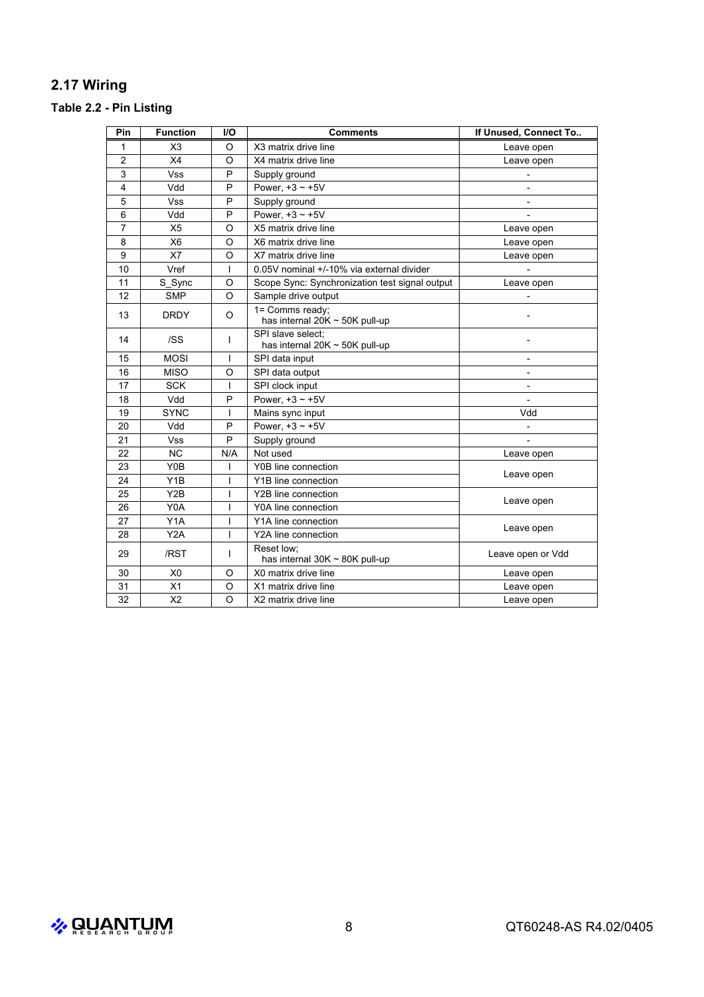## **2.17 Wiring**

# **Table 2.2 - Pin Listing**

| Pin            | <b>Function</b>  | <b>I/O</b>   | <b>Comments</b>                                          | If Unused, Connect To    |  |
|----------------|------------------|--------------|----------------------------------------------------------|--------------------------|--|
| 1              | X <sub>3</sub>   | O            | X3 matrix drive line                                     | Leave open               |  |
| $\overline{2}$ | X4               | $\Omega$     | X4 matrix drive line                                     | Leave open               |  |
| 3              | <b>Vss</b>       | P            | Supply ground                                            |                          |  |
| 4              | Vdd              | P            | Power, $+3 \sim +5V$                                     |                          |  |
| 5              | <b>Vss</b>       | P            | Supply ground                                            |                          |  |
| 6              | Vdd              | P            | Power, $+3 \sim +5V$                                     |                          |  |
| 7              | X <sub>5</sub>   | $\circ$      | X5 matrix drive line                                     | Leave open               |  |
| 8              | X <sub>6</sub>   | O            | X6 matrix drive line                                     | Leave open               |  |
| 9              | X7               | O            | X7 matrix drive line                                     | Leave open               |  |
| 10             | Vref             | T            | 0.05V nominal +/-10% via external divider                |                          |  |
| 11             | S_Sync           | O            | Scope Sync: Synchronization test signal output           | Leave open               |  |
| 12             | <b>SMP</b>       | $\Omega$     | Sample drive output                                      |                          |  |
| 13             | <b>DRDY</b>      | O            | 1= Comms ready:<br>has internal $20K \sim 50K$ pull-up   |                          |  |
| 14             | /SS              | T            | SPI slave select:<br>has internal 20K $\sim$ 50K pull-up |                          |  |
| 15             | <b>MOSI</b>      | T            | SPI data input                                           | $\overline{\phantom{a}}$ |  |
| 16             | <b>MISO</b>      | O            | SPI data output                                          | $\overline{\phantom{a}}$ |  |
| 17             | <b>SCK</b>       | $\mathbf{I}$ | SPI clock input                                          | $\overline{\phantom{a}}$ |  |
| 18             | Vdd              | P            | Power. $+3 \sim +5V$                                     |                          |  |
| 19             | <b>SYNC</b>      | T            | Mains sync input                                         | Vdd                      |  |
| 20             | Vdd              | P            | Power. $+3 \sim +5V$                                     |                          |  |
| 21             | Vss              | P            | Supply ground                                            |                          |  |
| 22             | <b>NC</b>        | N/A          | Not used                                                 | Leave open               |  |
| 23             | Y0B              | T            | Y0B line connection                                      |                          |  |
| 24             | Y <sub>1</sub> B | ı            | Y1B line connection                                      | Leave open               |  |
| 25             | Y <sub>2</sub> B | T            | Y2B line connection                                      |                          |  |
| 26             | Y0A              | T            | Y0A line connection                                      | Leave open               |  |
| 27             | Y1A              | T            | Y1A line connection                                      |                          |  |
| 28             | Y <sub>2</sub> A | $\mathbf{I}$ | Leave open<br>Y2A line connection                        |                          |  |
| 29             | /RST             | $\mathbf{I}$ | Reset low:<br>has internal $30K \sim 80K$ pull-up        | Leave open or Vdd        |  |
| 30             | X <sub>0</sub>   | O            | X0 matrix drive line                                     | Leave open               |  |
| 31             | X1               | O            | X1 matrix drive line<br>Leave open                       |                          |  |
| 32             | X <sub>2</sub>   | $\Omega$     | X2 matrix drive line                                     | Leave open               |  |

 $\clubsuit$  ပူပူ႔လူကူပူလှုု $\blacksquare$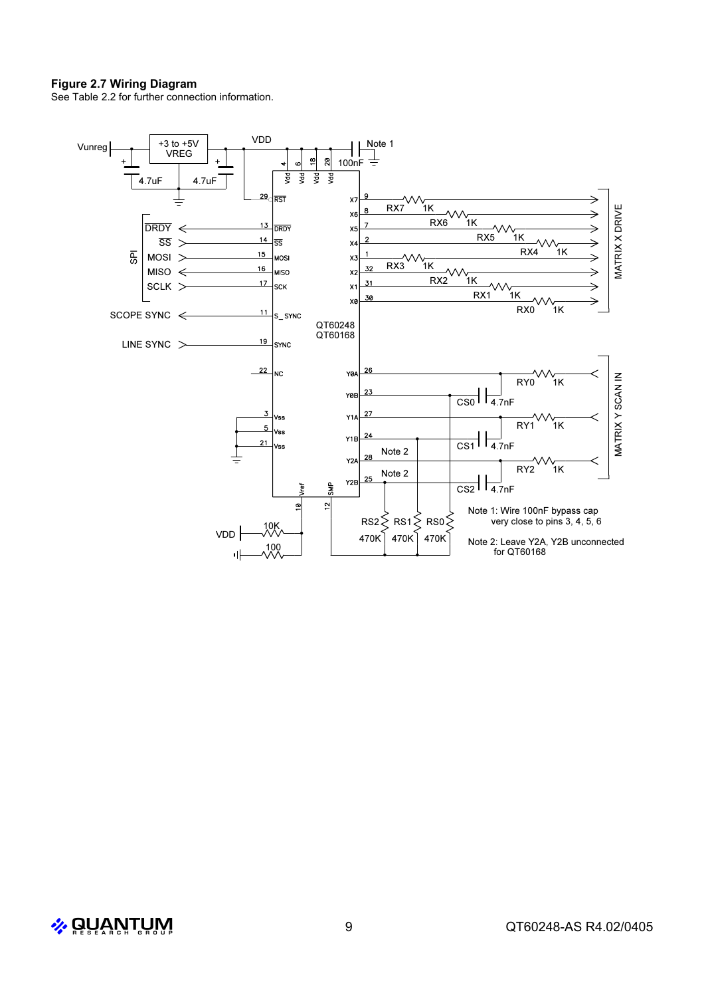#### **Figure 2.7 Wiring Diagram**

See Table 2.2 for further connection information.



 $\frac{1}{2}$  QUANTUM 9 QT60248-AS R4.02/0405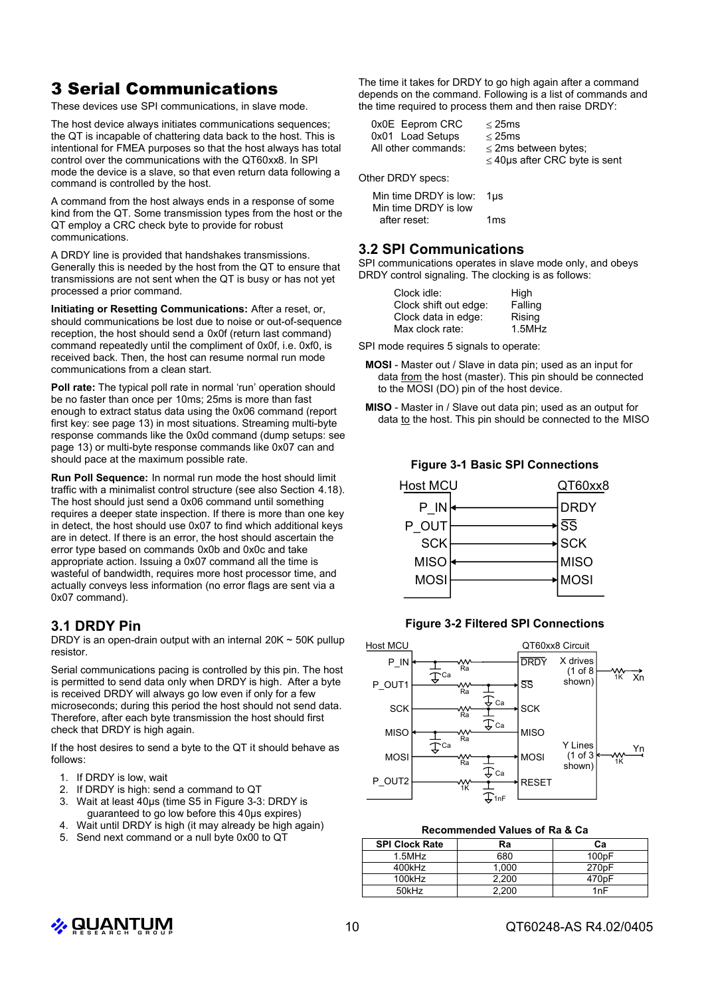# 3 Serial Communications

These devices use SPI communications, in slave mode.

The host device always initiates communications sequences; the QT is incapable of chattering data back to the host. This is intentional for FMEA purposes so that the host always has total control over the communications with the QT60xx8. In SPI mode the device is a slave, so that even return data following a command is controlled by the host.

A command from the host always ends in a response of some kind from the QT. Some transmission types from the host or the QT employ a CRC check byte to provide for robust communications.

A DRDY line is provided that handshakes transmissions. Generally this is needed by the host from the QT to ensure that transmissions are not sent when the QT is busy or has not yet processed a prior command.

**Initiating or Resetting Communications:** After a reset, or, should communications be lost due to noise or out-of-sequence reception, the host should send a 0x0f (return last command) command repeatedly until the compliment of 0x0f, i.e. 0xf0, is received back. Then, the host can resume normal run mode communications from a clean start.

**Poll rate:** The typical poll rate in normal 'run' operation should be no faster than once per 10ms; 25ms is more than fast enough to extract status data using the 0x06 command (report first key: see page 13) in most situations. Streaming multi-byte response commands like the 0x0d command (dump setups: see page 13) or multi-byte response commands like 0x07 can and should pace at the maximum possible rate.

**Run Poll Sequence:** In normal run mode the host should limit traffic with a minimalist control structure (see also Section 4.18). The host should just send a 0x06 command until something requires a deeper state inspection. If there is more than one key in detect, the host should use 0x07 to find which additional keys are in detect. If there is an error, the host should ascertain the error type based on commands 0x0b and 0x0c and take appropriate action. Issuing a 0x07 command all the time is wasteful of bandwidth, requires more host processor time, and actually conveys less information (no error flags are sent via a 0x07 command).

## **3.1 DRDY Pin**

DRDY is an open-drain output with an internal  $20K \sim 50K$  pullup resistor.

Serial communications pacing is controlled by this pin. The host is permitted to send data only when DRDY is high. After a byte is received DRDY will always go low even if only for a few microseconds; during this period the host should not send data. Therefore, after each byte transmission the host should first check that DRDY is high again.

If the host desires to send a byte to the QT it should behave as follows:

- 1. If DRDY is low, wait
- 2. If DRDY is high: send a command to QT
- 3. Wait at least 40µs (time S5 in Figure 3-3: DRDY is guaranteed to go low before this 40µs expires)
- 4. Wait until DRDY is high (it may already be high again)
- 5. Send next command or a null byte 0x00 to QT

The time it takes for DRDY to go high again after a command depends on the command. Following is a list of commands and the time required to process them and then raise DRDY:

| 0x0E Eeprom CRC     | $<$ 25 $ms$         |
|---------------------|---------------------|
| 0x01 Load Setups    | $<$ 25 $ms$         |
| All other commands: | $<$ 2ms $\mathsf k$ |
|                     |                     |

ns between bytes;  $\leq$  40µs after CRC byte is sent

Other DRDY specs:

| Min time DRDY is low: | 1us |
|-----------------------|-----|
| Min time DRDY is low  |     |
| after reset:          | 1ms |

#### **3.2 SPI Communications**

SPI communications operates in slave mode only, and obeys DRDY control signaling. The clocking is as follows:

| High      |
|-----------|
| Falling   |
| Rising    |
| $1.5$ MHz |
|           |

SPI mode requires 5 signals to operate:

- **MOSI** Master out / Slave in data pin; used as an input for data from the host (master). This pin should be connected to the MOSI (DO) pin of the host device.
- **MISO** Master in / Slave out data pin; used as an output for data to the host. This pin should be connected to the MISO

**Figure 3-1 Basic SPI Connections**



#### **Figure 3-2 Filtered SPI Connections**



#### **Recommended Values of Ra & Ca**

| <b>SPI Clock Rate</b> | Ra    | Cа                 |
|-----------------------|-------|--------------------|
| $1.5$ MHz             | 680   | 100 <sub>p</sub> F |
| 400kHz                | 1.000 | 270 <sub>p</sub> F |
| 100kHz                | 2,200 | 470pF              |
| 50kHz                 | 2.200 | 1nF                |

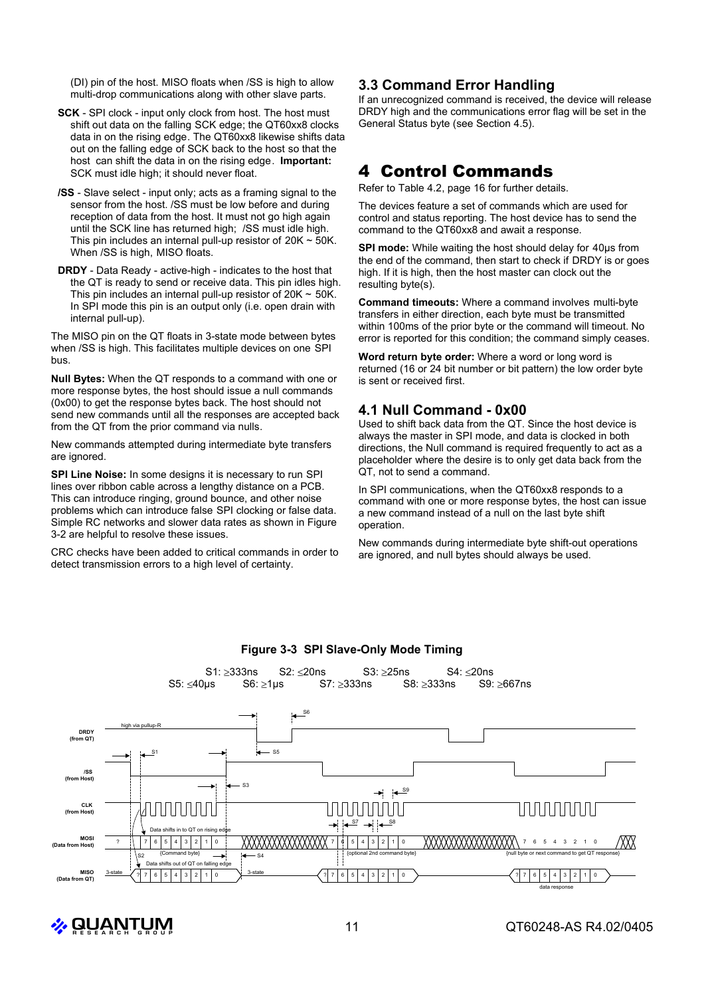(DI) pin of the host. MISO floats when /SS is high to allow multi-drop communications along with other slave parts.

- **SCK** SPI clock input only clock from host. The host must shift out data on the falling SCK edge; the QT60xx8 clocks data in on the rising edge. The QT60xx8 likewise shifts data out on the falling edge of SCK back to the host so that the host can shift the data in on the rising edge. **Important:** SCK must idle high; it should never float.
- **/SS** Slave select input only; acts as a framing signal to the sensor from the host. /SS must be low before and during reception of data from the host. It must not go high again until the SCK line has returned high; /SS must idle high. This pin includes an internal pull-up resistor of  $20K \sim 50K$ . When /SS is high, MISO floats.
- **DRDY** Data Ready active-high indicates to the host that the QT is ready to send or receive data. This pin idles high. This pin includes an internal pull-up resistor of  $20K \sim 50K$ . In SPI mode this pin is an output only (i.e. open drain with internal pull-up).

The MISO pin on the QT floats in 3-state mode between bytes when /SS is high. This facilitates multiple devices on one SPI bus.

**Null Bytes:** When the QT responds to a command with one or more response bytes, the host should issue a null commands (0x00) to get the response bytes back. The host should not send new commands until all the responses are accepted back from the QT from the prior command via nulls.

New commands attempted during intermediate byte transfers are ignored.

**SPI Line Noise:** In some designs it is necessary to run SPI lines over ribbon cable across a lengthy distance on a PCB. This can introduce ringing, ground bounce, and other noise problems which can introduce false SPI clocking or false data. Simple RC networks and slower data rates as shown in Figure 3-2 are helpful to resolve these issues.

CRC checks have been added to critical commands in order to detect transmission errors to a high level of certainty.

## **3.3 Command Error Handling**

If an unrecognized command is received, the device will release DRDY high and the communications error flag will be set in the General Status byte (see Section 4.5).

## 4 Control Commands

Refer to Table 4.2, page 16 for further details.

The devices feature a set of commands which are used for control and status reporting. The host device has to send the command to the QT60xx8 and await a response.

**SPI mode:** While waiting the host should delay for 40µs from the end of the command, then start to check if DRDY is or goes high. If it is high, then the host master can clock out the resulting byte(s).

**Command timeouts:** Where a command involves multi-byte transfers in either direction, each byte must be transmitted within 100ms of the prior byte or the command will timeout. No error is reported for this condition; the command simply ceases.

**Word return byte order:** Where a word or long word is returned (16 or 24 bit number or bit pattern) the low order byte is sent or received first.

## **4.1 Null Command - 0x00**

Used to shift back data from the QT. Since the host device is always the master in SPI mode, and data is clocked in both directions, the Null command is required frequently to act as a placeholder where the desire is to only get data back from the QT, not to send a command.

In SPI communications, when the QT60xx8 responds to a command with one or more response bytes, the host can issue a new command instead of a null on the last byte shift operation.

New commands during intermediate byte shift-out operations are ignored, and null bytes should always be used.



#### **Figure 3-3 SPI Slave-Only Mode Timing**

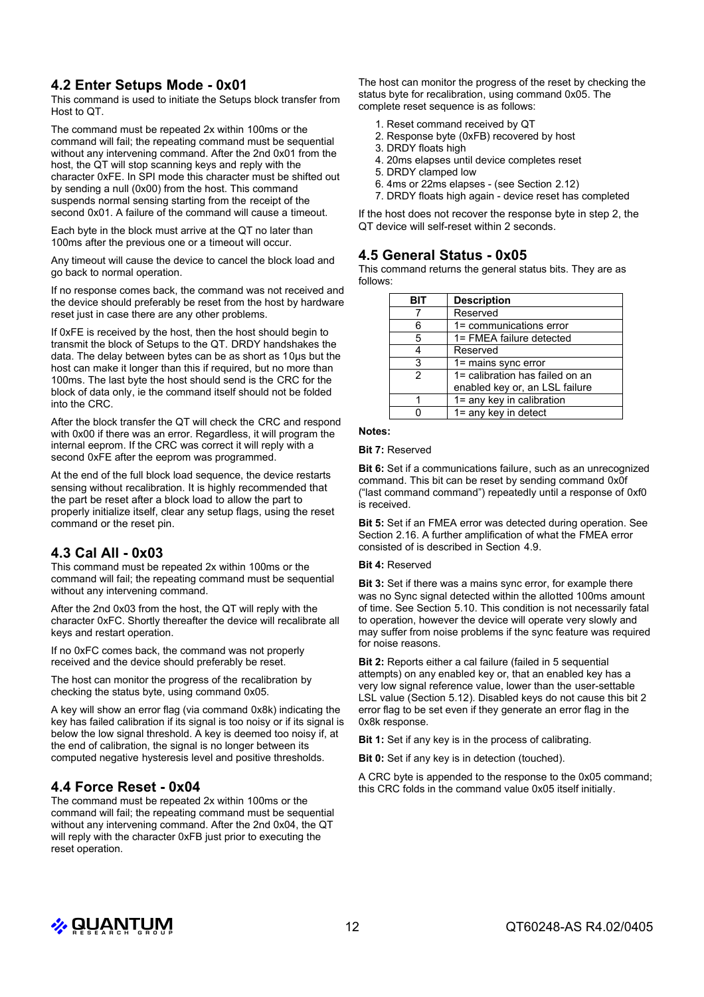## **4.2 Enter Setups Mode - 0x01**

This command is used to initiate the Setups block transfer from Host to QT.

The command must be repeated 2x within 100ms or the command will fail; the repeating command must be sequential without any intervening command. After the 2nd 0x01 from the host, the QT will stop scanning keys and reply with the character 0xFE. In SPI mode this character must be shifted out by sending a null (0x00) from the host. This command suspends normal sensing starting from the receipt of the second 0x01. A failure of the command will cause a timeout.

Each byte in the block must arrive at the QT no later than 100ms after the previous one or a timeout will occur.

Any timeout will cause the device to cancel the block load and go back to normal operation.

If no response comes back, the command was not received and the device should preferably be reset from the host by hardware reset just in case there are any other problems.

If 0xFE is received by the host, then the host should begin to transmit the block of Setups to the QT. DRDY handshakes the data. The delay between bytes can be as short as 10µs but the host can make it longer than this if required, but no more than 100ms. The last byte the host should send is the CRC for the block of data only, ie the command itself should not be folded into the CRC.

After the block transfer the QT will check the CRC and respond with 0x00 if there was an error. Regardless, it will program the internal eeprom. If the CRC was correct it will reply with a second 0xFE after the eeprom was programmed.

At the end of the full block load sequence, the device restarts sensing without recalibration. It is highly recommended that the part be reset after a block load to allow the part to properly initialize itself, clear any setup flags, using the reset command or the reset pin.

## **4.3 Cal All - 0x03**

This command must be repeated 2x within 100ms or the command will fail; the repeating command must be sequential without any intervening command.

After the 2nd 0x03 from the host, the QT will reply with the character 0xFC. Shortly thereafter the device will recalibrate all keys and restart operation.

If no 0xFC comes back, the command was not properly received and the device should preferably be reset.

The host can monitor the progress of the recalibration by checking the status byte, using command 0x05.

A key will show an error flag (via command 0x8k) indicating the key has failed calibration if its signal is too noisy or if its signal is below the low signal threshold. A key is deemed too noisy if, at the end of calibration, the signal is no longer between its computed negative hysteresis level and positive thresholds.

## **4.4 Force Reset - 0x04**

The command must be repeated 2x within 100ms or the command will fail; the repeating command must be sequential without any intervening command. After the 2nd 0x04, the QT will reply with the character 0xFB just prior to executing the reset operation.

The host can monitor the progress of the reset by checking the status byte for recalibration, using command 0x05. The complete reset sequence is as follows:

- 1. Reset command received by QT
- 2. Response byte (0xFB) recovered by host
- 3. DRDY floats high
- 4. 20ms elapses until device completes reset
- 5. DRDY clamped low
- 6. 4ms or 22ms elapses (see Section 2.12)
- 7. DRDY floats high again device reset has completed

If the host does not recover the response byte in step 2, the QT device will self-reset within 2 seconds.

#### **4.5 General Status - 0x05**

This command returns the general status bits. They are as follows:

| віт | <b>Description</b>              |
|-----|---------------------------------|
|     | Reserved                        |
| 6   | 1= communications error         |
| 5   | 1= FMEA failure detected        |
|     | Reserved                        |
| 3   | 1= mains sync error             |
| 2   | 1= calibration has failed on an |
|     | enabled key or, an LSL failure  |
|     | $1 =$ any key in calibration    |
|     | 1= any key in detect            |

#### **Notes:**

**Bit 7:** Reserved

**Bit 6:** Set if a communications failure, such as an unrecognized command. This bit can be reset by sending command 0x0f ("last command command") repeatedly until a response of 0xf0 is received.

**Bit 5:** Set if an FMEA error was detected during operation. See Section 2.16. A further amplification of what the FMEA error consisted of is described in Section 4.9.

#### **Bit 4:** Reserved

**Bit 3:** Set if there was a mains sync error, for example there was no Sync signal detected within the allotted 100ms amount of time. See Section 5.10. This condition is not necessarily fatal to operation, however the device will operate very slowly and may suffer from noise problems if the sync feature was required for noise reasons.

**Bit 2:** Reports either a cal failure (failed in 5 sequential attempts) on any enabled key or, that an enabled key has a very low signal reference value, lower than the user-settable LSL value (Section 5.12). Disabled keys do not cause this bit 2 error flag to be set even if they generate an error flag in the 0x8k response.

**Bit 1:** Set if any key is in the process of calibrating.

**Bit 0:** Set if any key is in detection (touched).

A CRC byte is appended to the response to the 0x05 command; this CRC folds in the command value 0x05 itself initially.

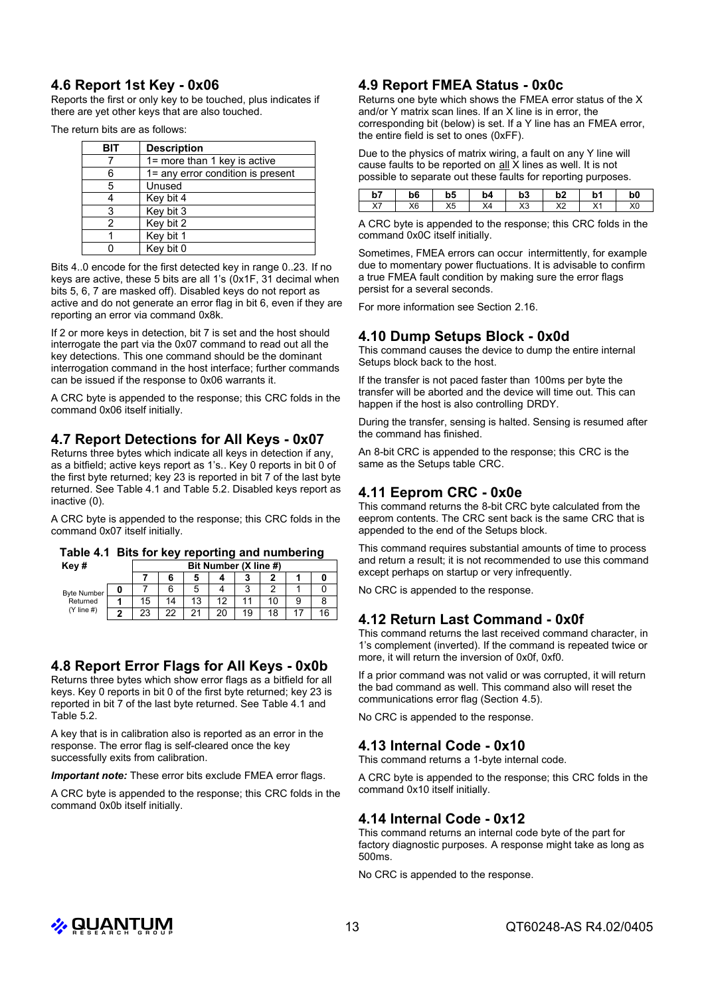## **4.6 Report 1st Key - 0x06**

Reports the first or only key to be touched, plus indicates if there are yet other keys that are also touched.

The return bits are as follows:

| BIT | <b>Description</b>                |
|-----|-----------------------------------|
|     | 1= more than 1 key is active      |
|     | 1= any error condition is present |
| 5   | Unused                            |
|     | Key bit 4                         |
| 3   | Key bit 3                         |
| 2   | Key bit 2                         |
|     | Key bit 1                         |
|     | Key bit 0                         |

Bits 4..0 encode for the first detected key in range 0..23. If no keys are active, these 5 bits are all 1's (0x1F, 31 decimal when bits 5, 6, 7 are masked off). Disabled keys do not report as active and do not generate an error flag in bit 6, even if they are reporting an error via command 0x8k.

If 2 or more keys in detection, bit 7 is set and the host should interrogate the part via the 0x07 command to read out all the key detections. This one command should be the dominant interrogation command in the host interface; further commands can be issued if the response to 0x06 warrants it.

A CRC byte is appended to the response; this CRC folds in the command 0x06 itself initially.

## **4.7 Report Detections for All Keys - 0x07**

Returns three bytes which indicate all keys in detection if any, as a bitfield; active keys report as 1's.. Key 0 reports in bit 0 of the first byte returned; key 23 is reported in bit 7 of the last byte returned. See Table 4.1 and Table 5.2. Disabled keys report as inactive (0).

A CRC byte is appended to the response; this CRC folds in the command 0x07 itself initially.

|  |  |  |  | Table 4.1 Bits for key reporting and numbering |
|--|--|--|--|------------------------------------------------|
|--|--|--|--|------------------------------------------------|

| Key#                           | Bit Number (X line #) |    |     |    |    |     |   |    |  |
|--------------------------------|-----------------------|----|-----|----|----|-----|---|----|--|
|                                |                       |    |     |    | 3  |     |   |    |  |
| <b>Byte Number</b><br>Returned |                       |    | 5   |    | ົ  |     |   |    |  |
|                                | 15                    | 14 | 13  | 12 |    | 10. | 9 |    |  |
| $(Y$ line #)                   | 23                    | つつ | າ 1 | 20 | 19 |     |   | 16 |  |

## **4.8 Report Error Flags for All Keys - 0x0b**

Returns three bytes which show error flags as a bitfield for all keys. Key 0 reports in bit 0 of the first byte returned; key 23 is reported in bit 7 of the last byte returned. See Table 4.1 and Table 5.2.

A key that is in calibration also is reported as an error in the response. The error flag is self-cleared once the key successfully exits from calibration.

*Important note:* These error bits exclude FMEA error flags.

A CRC byte is appended to the response; this CRC folds in the command 0x0b itself initially.

## **4.9 Report FMEA Status - 0x0c**

Returns one byte which shows the FMEA error status of the X and/or Y matrix scan lines. If an X line is in error, the corresponding bit (below) is set. If a Y line has an FMEA error, the entire field is set to ones (0xFF).

Due to the physics of matrix wiring, a fault on any Y line will cause faults to be reported on all X lines as well. It is not possible to separate out these faults for reporting purposes.

| 67<br>ו ט        | b6             | b5              | b4 | b3                 | ٠.<br>DZ.         | b1               | b0 |
|------------------|----------------|-----------------|----|--------------------|-------------------|------------------|----|
| $\vee$<br>$\sim$ | X <sub>6</sub> | <b>VE</b><br>∧υ | X4 | $\mathsf{v}$<br>ΛJ | $\sqrt{2}$<br>୵៶∠ | $\vee$<br>$\sim$ | X0 |

A CRC byte is appended to the response; this CRC folds in the command 0x0C itself initially.

Sometimes, FMEA errors can occur intermittently, for example due to momentary power fluctuations. It is advisable to confirm a true FMEA fault condition by making sure the error flags persist for a several seconds.

For more information see Section 2.16.

## **4.10 Dump Setups Block - 0x0d**

This command causes the device to dump the entire internal Setups block back to the host.

If the transfer is not paced faster than 100ms per byte the transfer will be aborted and the device will time out. This can happen if the host is also controlling DRDY.

During the transfer, sensing is halted. Sensing is resumed after the command has finished.

An 8-bit CRC is appended to the response; this CRC is the same as the Setups table CRC.

## **4.11 Eeprom CRC - 0x0e**

This command returns the 8-bit CRC byte calculated from the eeprom contents. The CRC sent back is the same CRC that is appended to the end of the Setups block.

This command requires substantial amounts of time to process and return a result; it is not recommended to use this command except perhaps on startup or very infrequently.

No CRC is appended to the response.

#### **4.12 Return Last Command - 0x0f**

This command returns the last received command character, in 1's complement (inverted). If the command is repeated twice or more, it will return the inversion of 0x0f, 0xf0.

If a prior command was not valid or was corrupted, it will return the bad command as well. This command also will reset the communications error flag (Section 4.5).

No CRC is appended to the response.

## **4.13 Internal Code - 0x10**

This command returns a 1-byte internal code.

A CRC byte is appended to the response; this CRC folds in the command 0x10 itself initially.

## **4.14 Internal Code - 0x12**

This command returns an internal code byte of the part for factory diagnostic purposes. A response might take as long as 500ms.

No CRC is appended to the response.

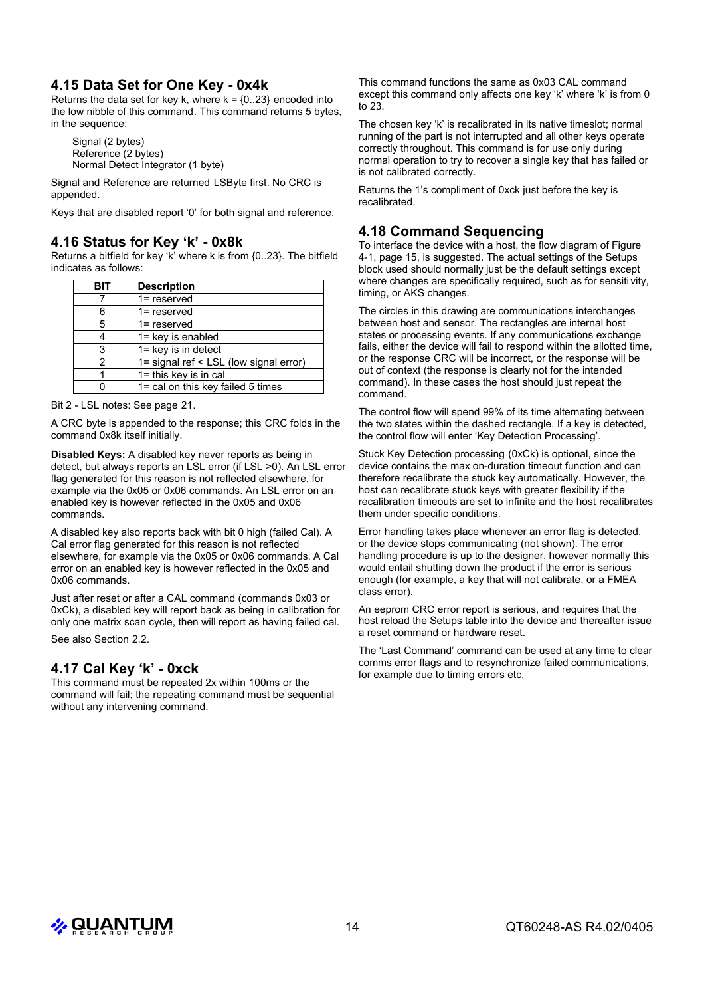## **4.15 Data Set for One Key - 0x4k**

Returns the data set for key k, where  $k = \{0..23\}$  encoded into the low nibble of this command. This command returns 5 bytes, in the sequence:

Signal (2 bytes) Reference (2 bytes) Normal Detect Integrator (1 byte)

Signal and Reference are returned LSByte first. No CRC is appended.

Keys that are disabled report '0' for both signal and reference.

## **4.16 Status for Key 'k' - 0x8k**

Returns a bitfield for key 'k' where k is from {0..23}. The bitfield indicates as follows:

| <b>BIT</b> | <b>Description</b>                     |
|------------|----------------------------------------|
|            | $1 =$ reserved                         |
| 6          | $1 =$ reserved                         |
| 5          | $1 =$ reserved                         |
|            | 1= key is enabled                      |
| 3          | $1 = \text{key}$ is in detect          |
| 2          | 1= signal ref < LSL (low signal error) |
|            | $1 =$ this key is in cal               |
|            | 1= cal on this key failed 5 times      |

Bit 2 - LSL notes: See page 21.

A CRC byte is appended to the response; this CRC folds in the command 0x8k itself initially.

**Disabled Keys:** A disabled key never reports as being in detect, but always reports an LSL error (if LSL >0). An LSL error flag generated for this reason is not reflected elsewhere, for example via the 0x05 or 0x06 commands. An LSL error on an enabled key is however reflected in the 0x05 and 0x06 commands.

A disabled key also reports back with bit 0 high (failed Cal). A Cal error flag generated for this reason is not reflected elsewhere, for example via the 0x05 or 0x06 commands. A Cal error on an enabled key is however reflected in the 0x05 and 0x06 commands.

Just after reset or after a CAL command (commands 0x03 or 0xCk), a disabled key will report back as being in calibration for only one matrix scan cycle, then will report as having failed cal.

See also Section 2.2.

## **4.17 Cal Key 'k' - 0xck**

This command must be repeated 2x within 100ms or the command will fail; the repeating command must be sequential without any intervening command.

This command functions the same as 0x03 CAL command except this command only affects one key 'k' where 'k' is from 0 to 23.

The chosen key 'k' is recalibrated in its native timeslot; normal running of the part is not interrupted and all other keys operate correctly throughout. This command is for use only during normal operation to try to recover a single key that has failed or is not calibrated correctly.

Returns the 1's compliment of 0xck just before the key is recalibrated.

## **4.18 Command Sequencing**

To interface the device with a host, the flow diagram of Figure 4-1, page 15, is suggested. The actual settings of the Setups block used should normally just be the default settings except where changes are specifically required, such as for sensitivity, timing, or AKS changes.

The circles in this drawing are communications interchanges between host and sensor. The rectangles are internal host states or processing events. If any communications exchange fails, either the device will fail to respond within the allotted time, or the response CRC will be incorrect, or the response will be out of context (the response is clearly not for the intended command). In these cases the host should just repeat the command.

The control flow will spend 99% of its time alternating between the two states within the dashed rectangle. If a key is detected, the control flow will enter 'Key Detection Processing'.

Stuck Key Detection processing (0xCk) is optional, since the device contains the max on-duration timeout function and can therefore recalibrate the stuck key automatically. However, the host can recalibrate stuck keys with greater flexibility if the recalibration timeouts are set to infinite and the host recalibrates them under specific conditions.

Error handling takes place whenever an error flag is detected, or the device stops communicating (not shown). The error handling procedure is up to the designer, however normally this would entail shutting down the product if the error is serious enough (for example, a key that will not calibrate, or a FMEA class error).

An eeprom CRC error report is serious, and requires that the host reload the Setups table into the device and thereafter issue a reset command or hardware reset.

The 'Last Command' command can be used at any time to clear comms error flags and to resynchronize failed communications, for example due to timing errors etc.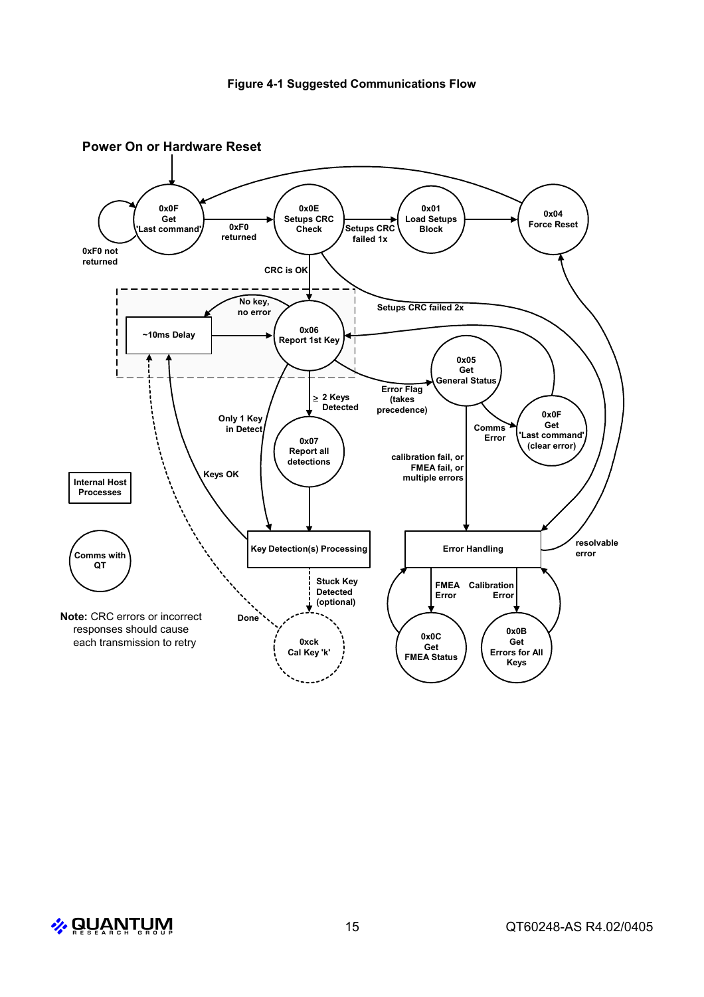

**Power On or Hardware Reset**

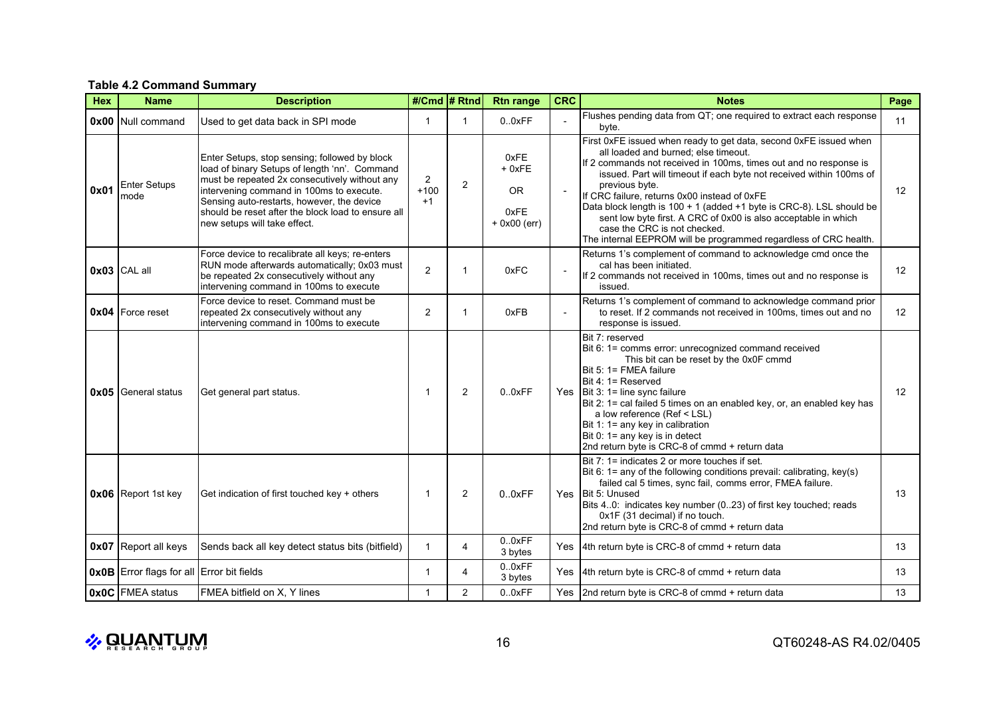#### **Table 4.2 Command Summary**

| <b>Hex</b> | <b>Name</b>                                      | <b>Description</b>                                                                                                                                                                                                                                                                                                              |                                  | #/Cmd # Rtnd   | <b>Rtn range</b>                                       | <b>CRC</b>     | <b>Notes</b>                                                                                                                                                                                                                                                                                                                                                                                                                                                                                                                                                          | Page              |
|------------|--------------------------------------------------|---------------------------------------------------------------------------------------------------------------------------------------------------------------------------------------------------------------------------------------------------------------------------------------------------------------------------------|----------------------------------|----------------|--------------------------------------------------------|----------------|-----------------------------------------------------------------------------------------------------------------------------------------------------------------------------------------------------------------------------------------------------------------------------------------------------------------------------------------------------------------------------------------------------------------------------------------------------------------------------------------------------------------------------------------------------------------------|-------------------|
|            | 0x00 Null command                                | Used to get data back in SPI mode                                                                                                                                                                                                                                                                                               |                                  | 1              | 0.0xFF                                                 |                | Flushes pending data from QT; one required to extract each response<br>byte.                                                                                                                                                                                                                                                                                                                                                                                                                                                                                          | 11                |
| 0x01       | <b>Enter Setups</b><br>mode                      | Enter Setups, stop sensing; followed by block<br>load of binary Setups of length 'nn'. Command<br>must be repeated 2x consecutively without any<br>intervening command in 100ms to execute.<br>Sensing auto-restarts, however, the device<br>should be reset after the block load to ensure all<br>new setups will take effect. | $\overline{2}$<br>$+100$<br>$+1$ | $\overline{2}$ | 0xFE<br>$+0xFE$<br><b>OR</b><br>0xFE<br>$+$ 0x00 (err) |                | First 0xFE issued when ready to get data, second 0xFE issued when<br>all loaded and burned; else timeout.<br>If 2 commands not received in 100ms, times out and no response is<br>issued. Part will timeout if each byte not received within 100ms of<br>previous byte.<br>If CRC failure, returns 0x00 instead of 0xFE<br>Data block length is 100 + 1 (added +1 byte is CRC-8). LSL should be<br>sent low byte first. A CRC of 0x00 is also acceptable in which<br>case the CRC is not checked.<br>The internal EEPROM will be programmed regardless of CRC health. | 12                |
|            | $0x03$ CAL all                                   | Force device to recalibrate all keys; re-enters<br>RUN mode afterwards automatically; 0x03 must<br>be repeated 2x consecutively without any<br>intervening command in 100ms to execute                                                                                                                                          | $\overline{2}$                   | 1              | 0xFC                                                   |                | Returns 1's complement of command to acknowledge cmd once the<br>cal has been initiated.<br>If 2 commands not received in 100ms, times out and no response is<br>issued.                                                                                                                                                                                                                                                                                                                                                                                              | $12 \overline{ }$ |
|            | <b>0x04</b> Force reset                          | Force device to reset. Command must be<br>repeated 2x consecutively without any<br>intervening command in 100ms to execute                                                                                                                                                                                                      | 2                                | 1              | 0xFB                                                   | $\blacksquare$ | Returns 1's complement of command to acknowledge command prior<br>to reset. If 2 commands not received in 100ms, times out and no<br>response is issued.                                                                                                                                                                                                                                                                                                                                                                                                              | 12                |
|            | <b>0x05</b> General status                       | Get general part status.                                                                                                                                                                                                                                                                                                        | $\overline{1}$                   | $\overline{2}$ | 0.0xFF                                                 |                | Bit 7: reserved<br>Bit 6: 1= comms error: unrecognized command received<br>This bit can be reset by the 0x0F cmmd<br>Bit 5: 1= FMEA failure<br>Bit 4: 1= Reserved<br>Yes $\left  \right $ Bit 3: 1 = line sync failure<br>Bit 2: 1= cal failed 5 times on an enabled key, or, an enabled key has<br>a low reference (Ref < LSL)<br>Bit 1: 1= any key in calibration<br>Bit 0: 1= any key is in detect<br>2nd return byte is CRC-8 of cmmd + return data                                                                                                               | $12 \overline{ }$ |
|            | 0x06 Report 1st key                              | Get indication of first touched key + others                                                                                                                                                                                                                                                                                    | -1                               | $\overline{2}$ | 0.0xFF                                                 |                | Bit 7: 1= indicates 2 or more touches if set.<br>Bit 6: 1= any of the following conditions prevail: calibrating, key(s)<br>failed cal 5 times, sync fail, comms error, FMEA failure.<br>Yes Bit 5: Unused<br>Bits 40: indicates key number (023) of first key touched; reads<br>0x1F (31 decimal) if no touch.<br>2nd return byte is CRC-8 of cmmd + return data                                                                                                                                                                                                      | 13                |
|            | <b>0x07</b> Report all keys                      | Sends back all key detect status bits (bitfield)                                                                                                                                                                                                                                                                                | $\overline{1}$                   | $\overline{4}$ | 0.0xFF<br>3 bytes                                      |                | Yes   4th return byte is CRC-8 of cmmd + return data                                                                                                                                                                                                                                                                                                                                                                                                                                                                                                                  | 13                |
|            | <b>0x0B</b> Error flags for all Error bit fields |                                                                                                                                                                                                                                                                                                                                 | $\overline{1}$                   | 4              | 0.0xFF<br>3 bytes                                      | Yes            | 4th return byte is CRC-8 of cmmd + return data                                                                                                                                                                                                                                                                                                                                                                                                                                                                                                                        | 13                |
|            | 0x0C FMEA status                                 | FMEA bitfield on X, Y lines                                                                                                                                                                                                                                                                                                     | -1                               | $\overline{2}$ | 0.0xFF                                                 |                | Yes 2nd return byte is CRC-8 of cmmd + return data                                                                                                                                                                                                                                                                                                                                                                                                                                                                                                                    | 13                |

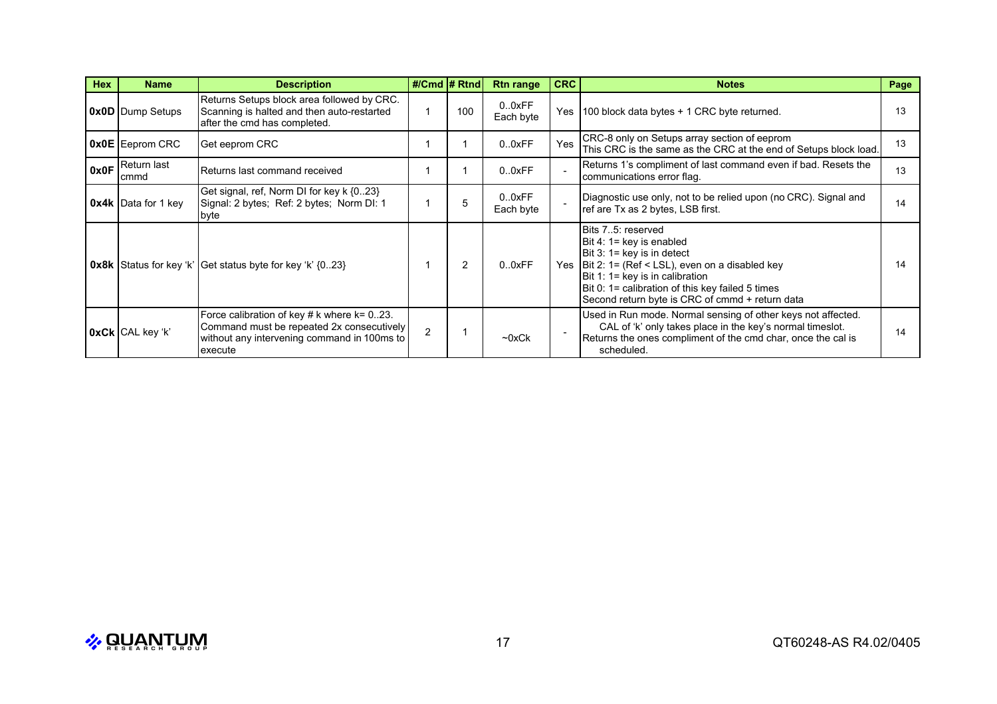| <b>Hex</b> | <b>Name</b>                     | <b>Description</b>                                                                                                                                       | #/Cmd $#Rtnd$  |                | <b>Rtn range</b>    | <b>CRC</b> | <b>Notes</b>                                                                                                                                                                                                                                                                              | Page |
|------------|---------------------------------|----------------------------------------------------------------------------------------------------------------------------------------------------------|----------------|----------------|---------------------|------------|-------------------------------------------------------------------------------------------------------------------------------------------------------------------------------------------------------------------------------------------------------------------------------------------|------|
|            | <b>0x0D</b> Dump Setups         | Returns Setups block area followed by CRC.<br>Scanning is halted and then auto-restarted<br>after the cmd has completed.                                 |                | 100            | 0.0xFF<br>Each byte | Yes        | 100 block data bytes + 1 CRC byte returned.                                                                                                                                                                                                                                               | 13   |
|            | <b>OxOE</b> Eeprom CRC          | Get eeprom CRC                                                                                                                                           |                |                | 0.0xFF              | Yes        | CRC-8 only on Setups array section of eeprom<br>This CRC is the same as the CRC at the end of Setups block load.                                                                                                                                                                          | 13   |
|            | 0x0F Return last<br><b>cmmd</b> | Returns last command received                                                                                                                            |                |                | 0.0xFF              |            | Returns 1's compliment of last command even if bad. Resets the<br>communications error flag.                                                                                                                                                                                              | 13   |
|            | $0x4k$ Data for 1 key           | Get signal, ref, Norm DI for key k {023}<br>Signal: 2 bytes; Ref: 2 bytes; Norm DI: 1<br>byte                                                            |                | 5              | 0.0xFF<br>Each byte |            | Diagnostic use only, not to be relied upon (no CRC). Signal and<br>ref are Tx as 2 bytes, LSB first.                                                                                                                                                                                      | 14   |
|            |                                 | <b>0x8k</b> Status for key 'k' Get status byte for key 'k' {023}                                                                                         |                | $\overline{2}$ | 0.0xFF              |            | Bits 75: reserved<br>Bit 4: 1= key is enabled<br>Bit 3: 1= key is in detect<br>Yes $ Bit 2: 1 = (Ref < LSL)$ , even on a disabled key<br>Bit 1: $1 = \text{key}$ is in calibration<br>Bit 0: 1= calibration of this key failed 5 times<br>Second return byte is CRC of cmmd + return data | 14   |
|            | $0xCk$ CAL key 'k'              | Force calibration of key # $k$ where $k = 0.23$ .<br>Command must be repeated 2x consecutively<br>without any intervening command in 100ms to<br>execute | $\overline{2}$ |                | $\neg$ 0xCk         |            | Used in Run mode. Normal sensing of other keys not affected.<br>CAL of 'k' only takes place in the key's normal timeslot.<br>Returns the ones compliment of the cmd char, once the cal is<br>scheduled.                                                                                   | 14   |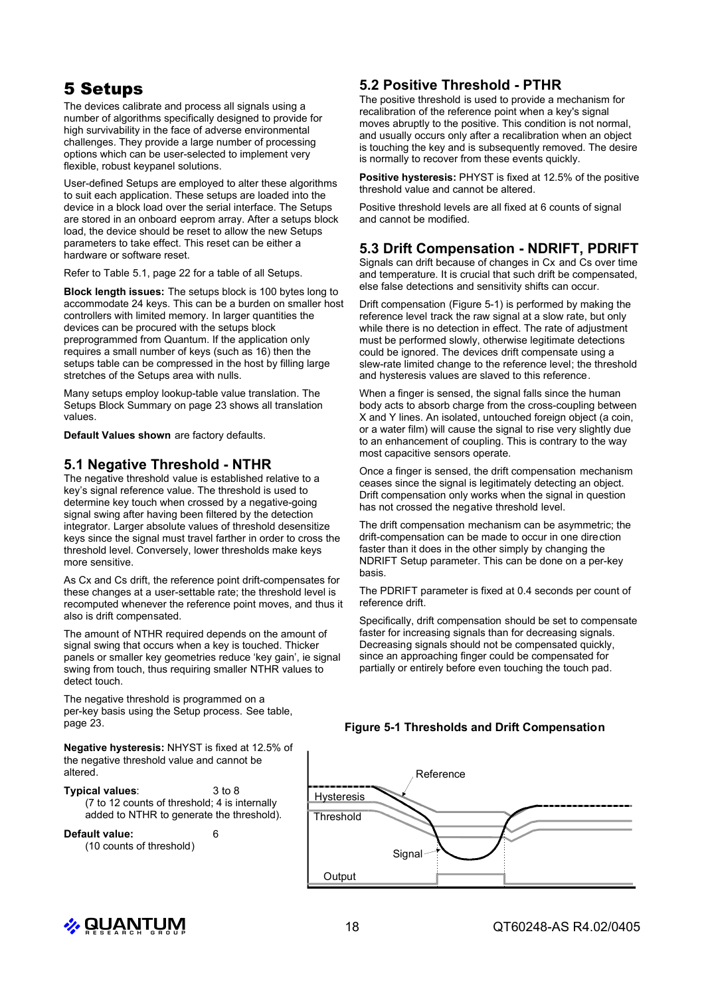# 5 Setups

The devices calibrate and process all signals using a number of algorithms specifically designed to provide for high survivability in the face of adverse environmental challenges. They provide a large number of processing options which can be user-selected to implement very flexible, robust keypanel solutions.

User-defined Setups are employed to alter these algorithms to suit each application. These setups are loaded into the device in a block load over the serial interface. The Setups are stored in an onboard eeprom array. After a setups block load, the device should be reset to allow the new Setups parameters to take effect. This reset can be either a hardware or software reset.

Refer to Table 5.1, page 22 for a table of all Setups.

**Block length issues:** The setups block is 100 bytes long to accommodate 24 keys. This can be a burden on smaller host controllers with limited memory. In larger quantities the devices can be procured with the setups block preprogrammed from Quantum. If the application only requires a small number of keys (such as 16) then the setups table can be compressed in the host by filling large stretches of the Setups area with nulls.

Many setups employ lookup-table value translation. The Setups Block Summary on page 23 shows all translation values.

**Default Values shown** are factory defaults.

## **5.1 Negative Threshold - NTHR**

The negative threshold value is established relative to a key's signal reference value. The threshold is used to determine key touch when crossed by a negative-going signal swing after having been filtered by the detection integrator. Larger absolute values of threshold desensitize keys since the signal must travel farther in order to cross the threshold level. Conversely, lower thresholds make keys more sensitive.

As Cx and Cs drift, the reference point drift-compensates for these changes at a user-settable rate; the threshold level is recomputed whenever the reference point moves, and thus it also is drift compensated.

The amount of NTHR required depends on the amount of signal swing that occurs when a key is touched. Thicker panels or smaller key geometries reduce 'key gain', ie signal swing from touch, thus requiring smaller NTHR values to detect touch.

The negative threshold is programmed on a per-key basis using the Setup process. See table, page 23.

**Negative hysteresis:** NHYST is fixed at 12.5% of the negative threshold value and cannot be altered.

**Typical values**: 3 to 8 (7 to 12 counts of threshold; 4 is internally added to NTHR to generate the threshold).

**Default value:** 6 (10 counts of threshold)

## **5.2 Positive Threshold - PTHR**

The positive threshold is used to provide a mechanism for recalibration of the reference point when a key's signal moves abruptly to the positive. This condition is not normal, and usually occurs only after a recalibration when an object is touching the key and is subsequently removed. The desire is normally to recover from these events quickly.

**Positive hysteresis:** PHYST is fixed at 12.5% of the positive threshold value and cannot be altered.

Positive threshold levels are all fixed at 6 counts of signal and cannot be modified.

## **5.3 Drift Compensation - NDRIFT, PDRIFT**

Signals can drift because of changes in Cx and Cs over time and temperature. It is crucial that such drift be compensated, else false detections and sensitivity shifts can occur.

Drift compensation (Figure 5-1) is performed by making the reference level track the raw signal at a slow rate, but only while there is no detection in effect. The rate of adjustment must be performed slowly, otherwise legitimate detections could be ignored. The devices drift compensate using a slew-rate limited change to the reference level; the threshold and hysteresis values are slaved to this reference.

When a finger is sensed, the signal falls since the human body acts to absorb charge from the cross-coupling between X and Y lines. An isolated, untouched foreign object (a coin, or a water film) will cause the signal to rise very slightly due to an enhancement of coupling. This is contrary to the way most capacitive sensors operate.

Once a finger is sensed, the drift compensation mechanism ceases since the signal is legitimately detecting an object. Drift compensation only works when the signal in question has not crossed the negative threshold level.

The drift compensation mechanism can be asymmetric; the drift-compensation can be made to occur in one direction faster than it does in the other simply by changing the NDRIFT Setup parameter. This can be done on a per-key basis.

The PDRIFT parameter is fixed at 0.4 seconds per count of reference drift.

Specifically, drift compensation should be set to compensate faster for increasing signals than for decreasing signals. Decreasing signals should not be compensated quickly, since an approaching finger could be compensated for partially or entirely before even touching the touch pad.

#### **Figure 5-1 Thresholds and Drift Compensation**



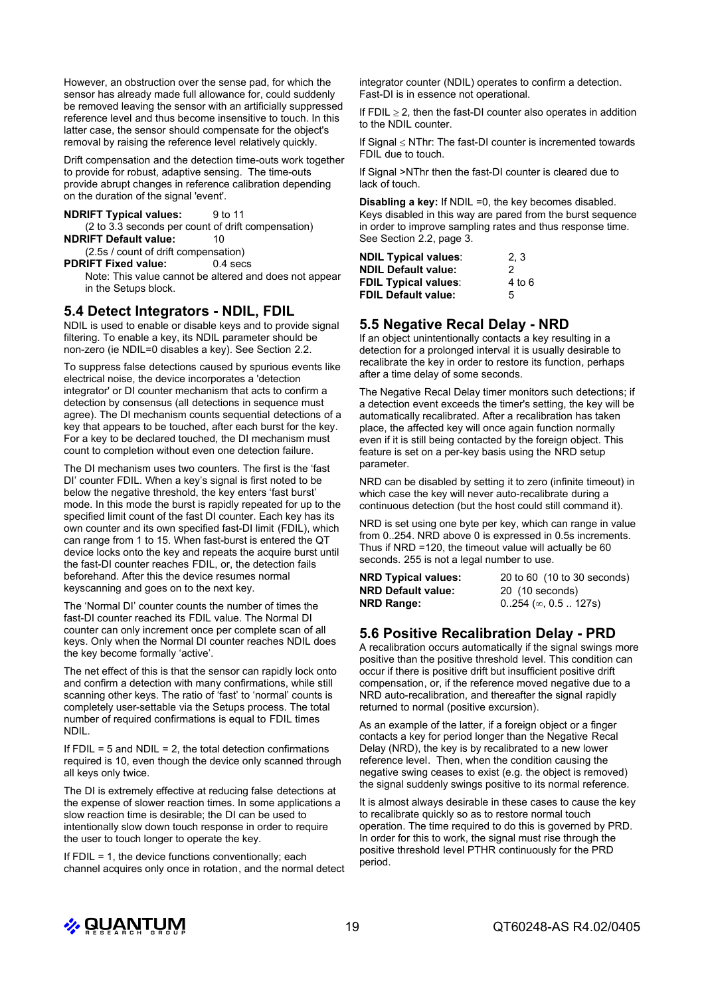However, an obstruction over the sense pad, for which the sensor has already made full allowance for, could suddenly be removed leaving the sensor with an artificially suppressed reference level and thus become insensitive to touch. In this latter case, the sensor should compensate for the object's removal by raising the reference level relatively quickly.

Drift compensation and the detection time-outs work together to provide for robust, adaptive sensing. The time-outs provide abrupt changes in reference calibration depending on the duration of the signal 'event'.

**NDRIFT Typical values:** 9 to 11

(2 to 3.3 seconds per count of drift compensation) **NDRIFT Default value:** 10

(2.5s / count of drift compensation)

**PDRIFT Fixed value:** 0.4 secs

Note: This value cannot be altered and does not appear in the Setups block.

#### **5.4 Detect Integrators - NDIL, FDIL**

NDIL is used to enable or disable keys and to provide signal filtering. To enable a key, its NDIL parameter should be non-zero (ie NDIL=0 disables a key). See Section 2.2.

To suppress false detections caused by spurious events like electrical noise, the device incorporates a 'detection integrator' or DI counter mechanism that acts to confirm a detection by consensus (all detections in sequence must agree). The DI mechanism counts sequential detections of a key that appears to be touched, after each burst for the key. For a key to be declared touched, the DI mechanism must count to completion without even one detection failure.

The DI mechanism uses two counters. The first is the 'fast DI' counter FDIL. When a key's signal is first noted to be below the negative threshold, the key enters 'fast burst' mode. In this mode the burst is rapidly repeated for up to the specified limit count of the fast DI counter. Each key has its own counter and its own specified fast-DI limit (FDIL), which can range from 1 to 15. When fast-burst is entered the QT device locks onto the key and repeats the acquire burst until the fast-DI counter reaches FDIL, or, the detection fails beforehand. After this the device resumes normal keyscanning and goes on to the next key.

The 'Normal DI' counter counts the number of times the fast-DI counter reached its FDIL value. The Normal DI counter can only increment once per complete scan of all keys. Only when the Normal DI counter reaches NDIL does the key become formally 'active'.

The net effect of this is that the sensor can rapidly lock onto and confirm a detection with many confirmations, while still scanning other keys. The ratio of 'fast' to 'normal' counts is completely user-settable via the Setups process. The total number of required confirmations is equal to FDIL times NDIL.

If  $FDIL = 5$  and  $NDIL = 2$ , the total detection confirmations required is 10, even though the device only scanned through all keys only twice.

The DI is extremely effective at reducing false detections at the expense of slower reaction times. In some applications a slow reaction time is desirable; the DI can be used to intentionally slow down touch response in order to require the user to touch longer to operate the key.

If  $FDIL = 1$ , the device functions conventionally; each channel acquires only once in rotation, and the normal detect integrator counter (NDIL) operates to confirm a detection. Fast-DI is in essence not operational.

If FDIL  $\geq$  2, then the fast-DI counter also operates in addition to the NDIL counter.

If Signal  $\leq$  NThr: The fast-DI counter is incremented towards FDIL due to touch.

If Signal >NThr then the fast-DI counter is cleared due to lack of touch.

**Disabling a key:** If NDIL =0, the key becomes disabled. Keys disabled in this way are pared from the burst sequence in order to improve sampling rates and thus response time. See Section 2.2, page 3.

| <b>NDIL Typical values:</b> | 2.3    |
|-----------------------------|--------|
| <b>NDIL Default value:</b>  | 2      |
| <b>FDIL Typical values:</b> | 4 to 6 |
| <b>FDIL Default value:</b>  | 5      |

## **5.5 Negative Recal Delay - NRD**

If an object unintentionally contacts a key resulting in a detection for a prolonged interval it is usually desirable to recalibrate the key in order to restore its function, perhaps after a time delay of some seconds.

The Negative Recal Delay timer monitors such detections; if a detection event exceeds the timer's setting, the key will be automatically recalibrated. After a recalibration has taken place, the affected key will once again function normally even if it is still being contacted by the foreign object. This feature is set on a per-key basis using the NRD setup parameter.

NRD can be disabled by setting it to zero (infinite timeout) in which case the key will never auto-recalibrate during a continuous detection (but the host could still command it).

NRD is set using one byte per key, which can range in value from 0..254. NRD above 0 is expressed in 0.5s increments. Thus if NRD =120, the timeout value will actually be 60 seconds. 255 is not a legal number to use.

| <b>NRD Typical values:</b> | 20 to 60 (10 to 30 seconds)     |
|----------------------------|---------------------------------|
| <b>NRD Default value:</b>  | 20 (10 seconds)                 |
| NRD Range:                 | $0.254$ ( $\infty$ , 0.5  127s) |

## **5.6 Positive Recalibration Delay - PRD**

A recalibration occurs automatically if the signal swings more positive than the positive threshold level. This condition can occur if there is positive drift but insufficient positive drift compensation, or, if the reference moved negative due to a NRD auto-recalibration, and thereafter the signal rapidly returned to normal (positive excursion).

As an example of the latter, if a foreign object or a finger contacts a key for period longer than the Negative Recal Delay (NRD), the key is by recalibrated to a new lower reference level. Then, when the condition causing the negative swing ceases to exist (e.g. the object is removed) the signal suddenly swings positive to its normal reference.

It is almost always desirable in these cases to cause the key to recalibrate quickly so as to restore normal touch operation. The time required to do this is governed by PRD. In order for this to work, the signal must rise through the positive threshold level PTHR continuously for the PRD period.

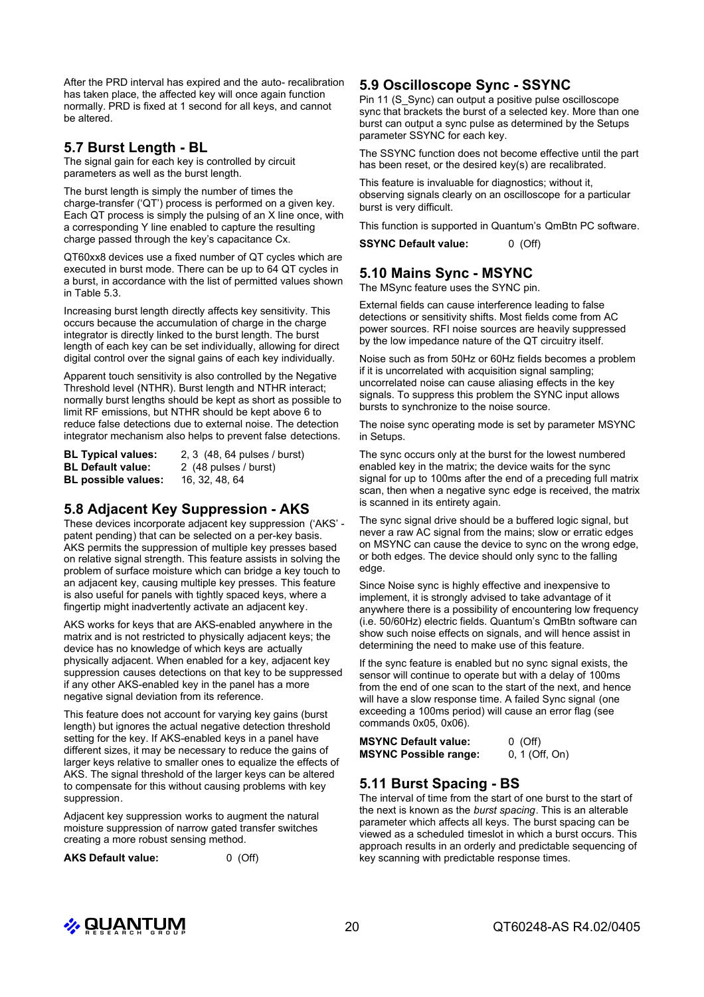After the PRD interval has expired and the auto- recalibration has taken place, the affected key will once again function normally. PRD is fixed at 1 second for all keys, and cannot be altered.

## **5.7 Burst Length - BL**

The signal gain for each key is controlled by circuit parameters as well as the burst length.

The burst length is simply the number of times the charge-transfer ('QT') process is performed on a given key. Each QT process is simply the pulsing of an X line once, with a corresponding Y line enabled to capture the resulting charge passed through the key's capacitance Cx.

QT60xx8 devices use a fixed number of QT cycles which are executed in burst mode. There can be up to 64 QT cycles in a burst, in accordance with the list of permitted values shown in Table 5.3.

Increasing burst length directly affects key sensitivity. This occurs because the accumulation of charge in the charge integrator is directly linked to the burst length. The burst length of each key can be set individually, allowing for direct digital control over the signal gains of each key individually.

Apparent touch sensitivity is also controlled by the Negative Threshold level (NTHR). Burst length and NTHR interact; normally burst lengths should be kept as short as possible to limit RF emissions, but NTHR should be kept above 6 to reduce false detections due to external noise. The detection integrator mechanism also helps to prevent false detections.

| <b>BL Typical values:</b>  | 2, 3 (48, 64 pulses / burst) |
|----------------------------|------------------------------|
| BL Default value:          | 2 (48 pulses / burst)        |
| <b>BL possible values:</b> | 16, 32, 48, 64               |

## **5.8 Adjacent Key Suppression - AKS**

These devices incorporate adjacent key suppression ('AKS' patent pending) that can be selected on a per-key basis. AKS permits the suppression of multiple key presses based on relative signal strength. This feature assists in solving the problem of surface moisture which can bridge a key touch to an adjacent key, causing multiple key presses. This feature is also useful for panels with tightly spaced keys, where a fingertip might inadvertently activate an adjacent key.

AKS works for keys that are AKS-enabled anywhere in the matrix and is not restricted to physically adjacent keys; the device has no knowledge of which keys are actually physically adjacent. When enabled for a key, adjacent key suppression causes detections on that key to be suppressed if any other AKS-enabled key in the panel has a more negative signal deviation from its reference.

This feature does not account for varying key gains (burst length) but ignores the actual negative detection threshold setting for the key. If AKS-enabled keys in a panel have different sizes, it may be necessary to reduce the gains of larger keys relative to smaller ones to equalize the effects of AKS. The signal threshold of the larger keys can be altered to compensate for this without causing problems with key suppression.

Adjacent key suppression works to augment the natural moisture suppression of narrow gated transfer switches creating a more robust sensing method.

**AKS Default value:** 0 (Off)

## **5.9 Oscilloscope Sync - SSYNC**

Pin 11 (S\_Sync) can output a positive pulse oscilloscope sync that brackets the burst of a selected key. More than one burst can output a sync pulse as determined by the Setups parameter SSYNC for each key.

The SSYNC function does not become effective until the part has been reset, or the desired key(s) are recalibrated.

This feature is invaluable for diagnostics; without it, observing signals clearly on an oscilloscope for a particular burst is very difficult.

This function is supported in Quantum's QmBtn PC software.

**SSYNC Default value:** 0 (Off)

## **5.10 Mains Sync - MSYNC**

The MSync feature uses the SYNC pin.

External fields can cause interference leading to false detections or sensitivity shifts. Most fields come from AC power sources. RFI noise sources are heavily suppressed by the low impedance nature of the QT circuitry itself.

Noise such as from 50Hz or 60Hz fields becomes a problem if it is uncorrelated with acquisition signal sampling; uncorrelated noise can cause aliasing effects in the key signals. To suppress this problem the SYNC input allows bursts to synchronize to the noise source.

The noise sync operating mode is set by parameter MSYNC in Setups.

The sync occurs only at the burst for the lowest numbered enabled key in the matrix; the device waits for the sync signal for up to 100ms after the end of a preceding full matrix scan, then when a negative sync edge is received, the matrix is scanned in its entirety again.

The sync signal drive should be a buffered logic signal, but never a raw AC signal from the mains; slow or erratic edges on MSYNC can cause the device to sync on the wrong edge, or both edges. The device should only sync to the falling edge.

Since Noise sync is highly effective and inexpensive to implement, it is strongly advised to take advantage of it anywhere there is a possibility of encountering low frequency (i.e. 50/60Hz) electric fields. Quantum's QmBtn software can show such noise effects on signals, and will hence assist in determining the need to make use of this feature.

If the sync feature is enabled but no sync signal exists, the sensor will continue to operate but with a delay of 100ms from the end of one scan to the start of the next, and hence will have a slow response time. A failed Sync signal (one exceeding a 100ms period) will cause an error flag (see commands 0x05, 0x06).

| <b>MSYNC Default value:</b>  | $0$ (Off)        |
|------------------------------|------------------|
| <b>MSYNC Possible range:</b> | $0, 1$ (Off, On) |

#### **5.11 Burst Spacing - BS**

The interval of time from the start of one burst to the start of the next is known as the *burst spacing*. This is an alterable parameter which affects all keys. The burst spacing can be viewed as a scheduled timeslot in which a burst occurs. This approach results in an orderly and predictable sequencing of key scanning with predictable response times.

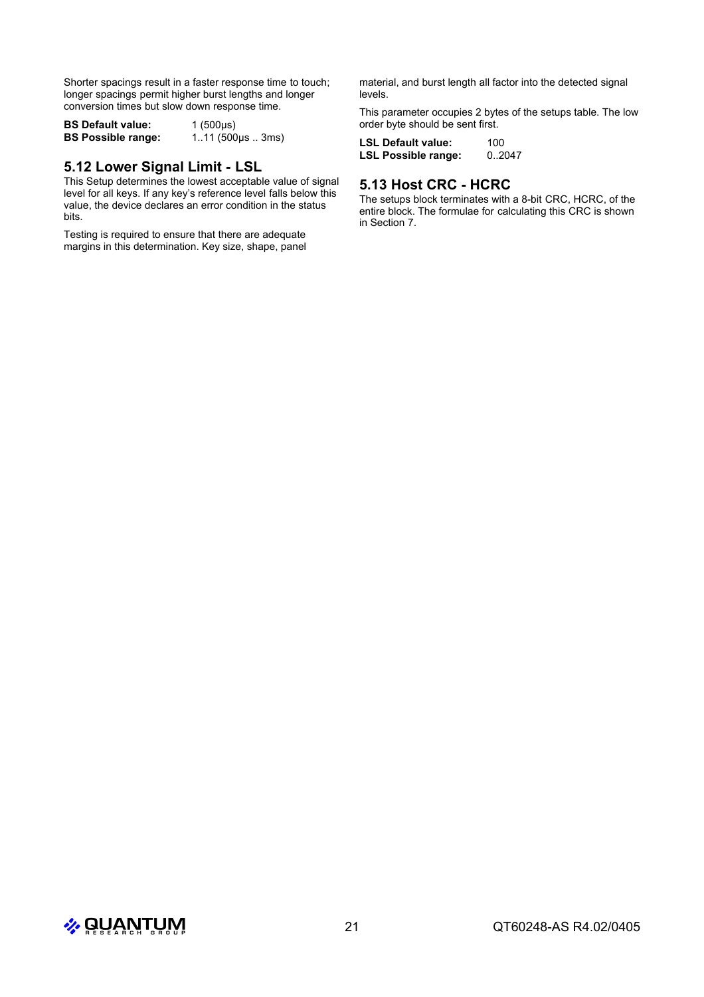Shorter spacings result in a faster response time to touch; longer spacings permit higher burst lengths and longer conversion times but slow down response time.

**BS Default value:** 1 (500µs)<br>**BS Possible range:** 1..11 (500 **BS Possible range:** 1..11 (500µs .. 3ms)

## **5.12 Lower Signal Limit - LSL**

This Setup determines the lowest acceptable value of signal level for all keys. If any key's reference level falls below this value, the device declares an error condition in the status bits.

Testing is required to ensure that there are adequate margins in this determination. Key size, shape, panel material, and burst length all factor into the detected signal levels.

This parameter occupies 2 bytes of the setups table. The low order byte should be sent first.

**LSL Default value:** 100 **LSL Possible range:** 0..2047

## **5.13 Host CRC - HCRC**

The setups block terminates with a 8-bit CRC, HCRC, of the entire block. The formulae for calculating this CRC is shown in Section 7.

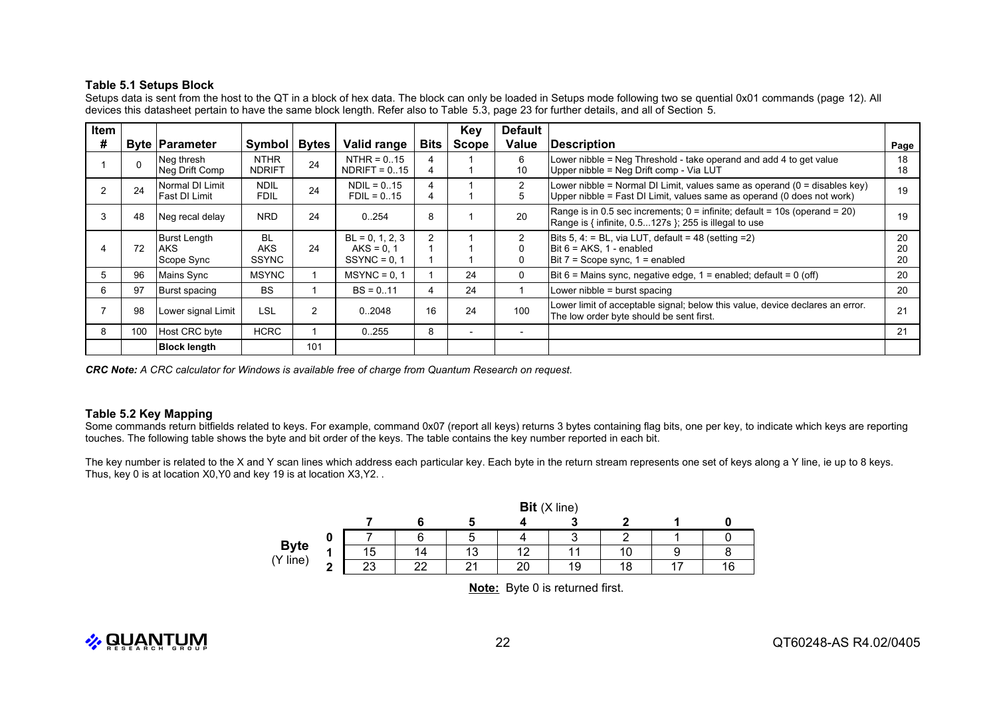#### **Table 5.1 Setups Block**

Setups data is sent from the host to the QT in a block of hex data. The block can only be loaded in Setups mode following two se quential 0x01 commands (page 12). All devices this datasheet pertain to have the same block length. Refer also to Table 5.3, page 23 for further details, and all of Section 5.

| Item |     |                                          |                                         |                |                                                    |                | Key                      | <b>Default</b> |                                                                                                                                                       |                |
|------|-----|------------------------------------------|-----------------------------------------|----------------|----------------------------------------------------|----------------|--------------------------|----------------|-------------------------------------------------------------------------------------------------------------------------------------------------------|----------------|
| #    |     | <b>Byte Parameter</b>                    | Symbol                                  | <b>Bytes</b>   | Valid range                                        | Bits           | <b>Scope</b>             | Value          | <b>Description</b>                                                                                                                                    | Page           |
|      |     | Neg thresh<br>Neg Drift Comp             | <b>NTHR</b><br><b>NDRIFT</b>            | 24             | $NTHR = 0.15$<br>$NDRIFT = 0.15$                   | 4              |                          | 6<br>10        | Lower nibble = Neg Threshold - take operand and add 4 to get value<br>Upper nibble = Neg Drift comp - Via LUT                                         | 18<br>18       |
|      | 24  | Normal DI Limit<br>Fast DI Limit         | <b>NDIL</b><br><b>FDIL</b>              | 24             | $NDIL = 0.15$<br>$FDIL = 0.15$                     |                |                          | 2<br>5         | Lower nibble = Normal DI Limit, values same as operand $(0 =$ disables key)<br>Upper nibble = Fast DI Limit, values same as operand (0 does not work) | 19             |
| 3    | 48  | Neg recal delay                          | <b>NRD</b>                              | 24             | 0.254                                              | 8              |                          | 20             | Range is in 0.5 sec increments; 0 = infinite; default = 10s (operand = 20)<br>Range is { infinite, 0.5127s }; 255 is illegal to use                   | 19             |
|      | 72  | Burst Length<br><b>AKS</b><br>Scope Sync | <b>BL</b><br><b>AKS</b><br><b>SSYNC</b> | 24             | $BL = 0, 1, 2, 3$<br>$AKS = 0.1$<br>$SSYNC = 0, 1$ | $\overline{2}$ |                          | $\Omega$       | Bits 5, 4: = BL, via LUT, default = 48 (setting = 2)<br>Bit $6 = AKS$ , 1 - enabled<br>Bit $7 =$ Scope sync, $1 =$ enabled                            | 20<br>20<br>20 |
| 5    | 96  | Mains Sync                               | <b>MSYNC</b>                            |                | $MSYNC = 0.1$                                      |                | 24                       | 0              | Bit $6$ = Mains sync, negative edge, $1$ = enabled; default = 0 (off)                                                                                 | 20             |
| 6    | 97  | Burst spacing                            | <b>BS</b>                               |                | $BS = 0.11$                                        | 4              | 24                       |                | Lower nibble = burst spacing                                                                                                                          | 20             |
|      | 98  | Lower signal Limit                       | LSL                                     | $\overline{2}$ | 02048                                              | 16             | 24                       | 100            | Lower limit of acceptable signal; below this value, device declares an error.<br>The low order byte should be sent first.                             | 21             |
| 8    | 100 | Host CRC byte                            | <b>HCRC</b>                             |                | 0.255                                              | 8              | $\overline{\phantom{0}}$ |                |                                                                                                                                                       | 21             |
|      |     | <b>Block length</b>                      |                                         | 101            |                                                    |                |                          |                |                                                                                                                                                       |                |

*CRC Note: A CRC calculator for Windows is available free of charge from Quantum Research on request.*

#### **Table 5.2 Key Mapping**

Some commands return bitfields related to keys. For example, command 0x07 (report all keys) returns 3 bytes containing flag bits, one per key, to indicate which keys are reporting touches. The following table shows the byte and bit order of the keys. The table contains the key number reported in each bit.

The key number is related to the X and Y scan lines which address each particular key. Each byte in the return stream represents one set of keys along a Y line, ie up to 8 keys. Thus, key 0 is at location X0,Y0 and key 19 is at location X3,Y2. .

|             |   |          | Bit(X line) |        |    |    |   |  |  |  |  |  |  |
|-------------|---|----------|-------------|--------|----|----|---|--|--|--|--|--|--|
|             |   |          |             |        |    |    |   |  |  |  |  |  |  |
|             |   |          | ี           | ∽      |    | ◠  |   |  |  |  |  |  |  |
| <b>Byte</b> | и | 15       | 14          | 13     |    |    |   |  |  |  |  |  |  |
| (Y line)    | ◠ | ററ<br>∠ບ | າາ<br>--    | $\sim$ | 20 | 19 | 8 |  |  |  |  |  |  |

**Note:** Byte 0 is returned first.

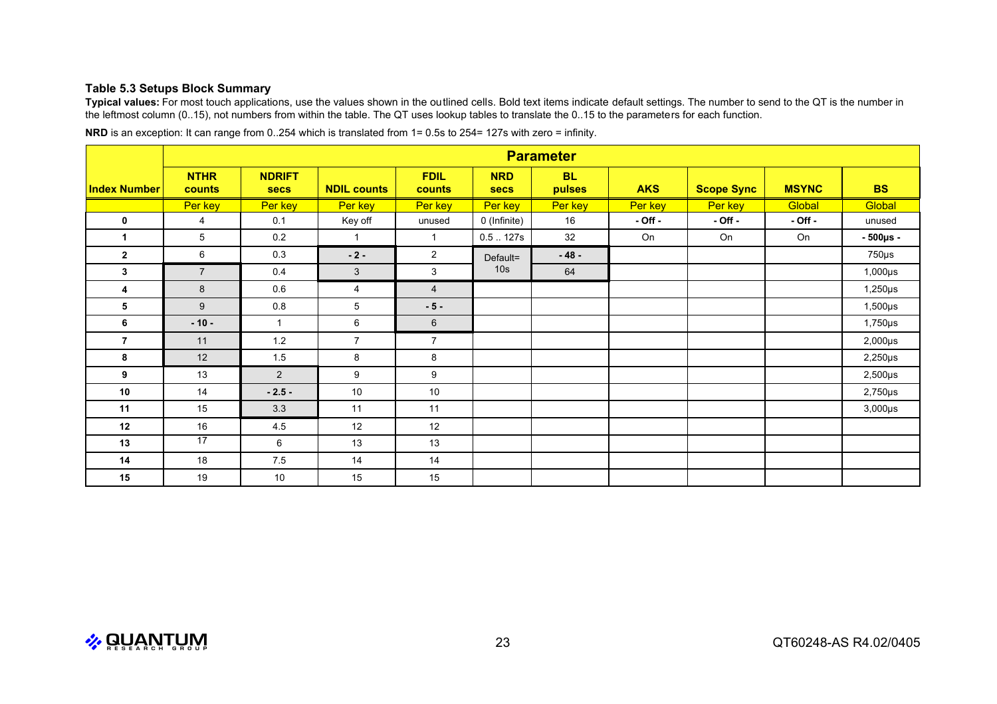#### **Table 5.3 Setups Block Summary**

**Typical values:** For most touch applications, use the values shown in the outlined cells. Bold text items indicate default settings. The number to send to the QT is the number in the leftmost column (0..15), not numbers from within the table. The QT uses lookup tables to translate the 0..15 to the parameters for each function.

|                     |                              | <b>Parameter</b>             |                    |                       |                           |                     |             |                   |              |               |  |  |
|---------------------|------------------------------|------------------------------|--------------------|-----------------------|---------------------------|---------------------|-------------|-------------------|--------------|---------------|--|--|
| <b>Index Number</b> | <b>NTHR</b><br><b>counts</b> | <b>NDRIFT</b><br><b>secs</b> | <b>NDIL counts</b> | <b>FDIL</b><br>counts | <b>NRD</b><br><b>secs</b> | <b>BL</b><br>pulses | <b>AKS</b>  | <b>Scope Sync</b> | <b>MSYNC</b> | <b>BS</b>     |  |  |
|                     | Per key                      | Per key                      | Per key            | Per key               | Per key                   | Per key             | Per key     | Per key           | Global       | Global        |  |  |
| 0                   | 4                            | 0.1                          | Key off            | unused                | 0 (Infinite)              | 16                  | $-$ Off $-$ | $-$ Off $-$       | $-$ Off $-$  | unused        |  |  |
| 1                   | 5                            | 0.2                          | $\mathbf{1}$       | $\mathbf 1$           | 0.5127s                   | 32                  | On          | On                | On           | $-500\mu s -$ |  |  |
| $\overline{2}$      | 6                            | 0.3                          | $-2-$              | $\overline{2}$        | Default=                  | $-48-$              |             |                   |              | $750\mu s$    |  |  |
| 3                   | $\overline{7}$               | 0.4                          | $\mathbf{3}$       | 3                     | 10 <sub>s</sub>           | 64                  |             |                   |              | $1,000\mu s$  |  |  |
| 4                   | 8                            | 0.6                          | 4                  | $\overline{4}$        |                           |                     |             |                   |              | $1,250\mu s$  |  |  |
| 5                   | 9                            | 0.8                          | 5                  | $-5-$                 |                           |                     |             |                   |              | $1,500\mu s$  |  |  |
| 6                   | $-10-$                       | $\mathbf{1}$                 | 6                  | $6\phantom{1}$        |                           |                     |             |                   |              | $1,750\mu s$  |  |  |
| $\overline{7}$      | 11                           | $1.2$                        | $\overline{7}$     | $\overline{7}$        |                           |                     |             |                   |              | $2,000\mu s$  |  |  |
| 8                   | 12                           | 1.5                          | 8                  | 8                     |                           |                     |             |                   |              | $2,250\mu s$  |  |  |
| 9                   | 13                           | $\overline{2}$               | 9                  | 9                     |                           |                     |             |                   |              | $2,500\mu s$  |  |  |
| 10                  | 14                           | $-2.5-$                      | 10                 | 10                    |                           |                     |             |                   |              | $2,750\mu s$  |  |  |
| 11                  | 15                           | 3.3                          | 11                 | 11                    |                           |                     |             |                   |              | $3,000\mu s$  |  |  |
| 12                  | 16                           | 4.5                          | 12                 | 12                    |                           |                     |             |                   |              |               |  |  |
| 13                  | $\overline{17}$              | 6                            | 13                 | 13                    |                           |                     |             |                   |              |               |  |  |
| 14                  | 18                           | 7.5                          | 14                 | 14                    |                           |                     |             |                   |              |               |  |  |
| 15                  | 19                           | 10                           | 15                 | 15                    |                           |                     |             |                   |              |               |  |  |

**NRD** is an exception: It can range from 0..254 which is translated from 1= 0.5s to 254= 127s with zero = infinity.

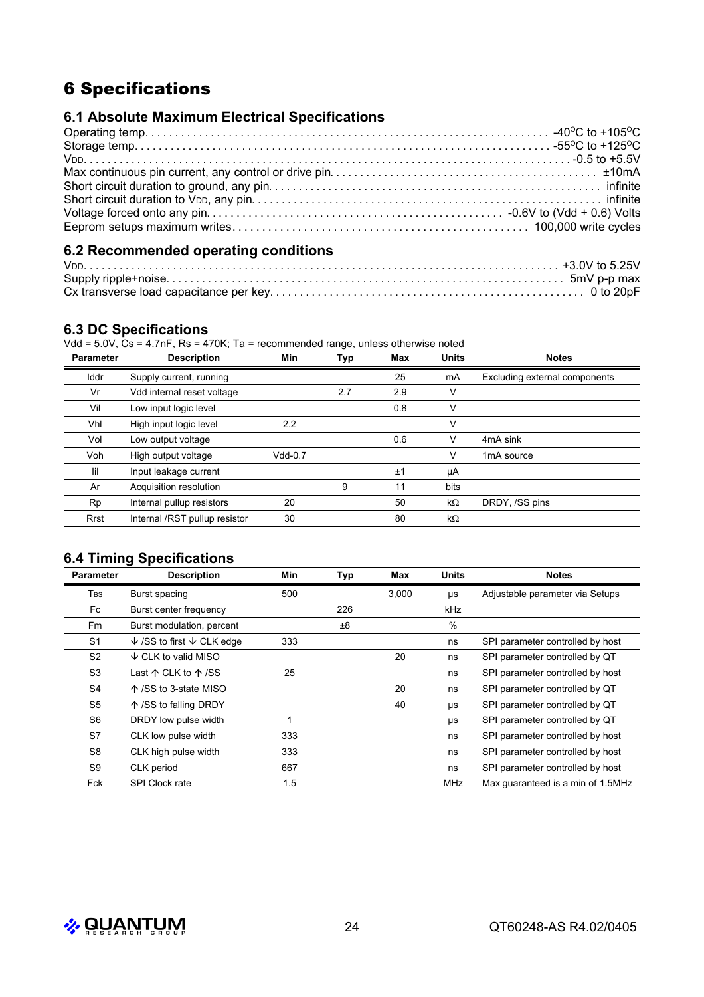# 6 Specifications

## **6.1 Absolute Maximum Electrical Specifications**

## **6.2 Recommended operating conditions**

## **6.3 DC Specifications**

Vdd = 5.0V, Cs = 4.7nF, Rs = 470K; Ta = recommended range, unless otherwise noted

| <b>Parameter</b> | <b>Description</b>            | Min       | <u>.</u><br>Typ | Max | <b>Units</b> | <b>Notes</b>                  |
|------------------|-------------------------------|-----------|-----------------|-----|--------------|-------------------------------|
| Iddr             | Supply current, running       |           |                 | 25  | mA           | Excluding external components |
| Vr               | Vdd internal reset voltage    |           | 2.7             | 2.9 | v            |                               |
| Vil              | Low input logic level         |           |                 | 0.8 | v            |                               |
| Vhl              | High input logic level        | 2.2       |                 |     | v            |                               |
| Vol              | Low output voltage            |           |                 | 0.6 | v            | 4mA sink                      |
| Voh              | High output voltage           | $Vdd-0.7$ |                 |     | v            | 1 <sub>m</sub> A source       |
| lil              | Input leakage current         |           |                 | ±1  | μA           |                               |
| Ar               | Acquisition resolution        |           | 9               | 11  | bits         |                               |
| Rp               | Internal pullup resistors     | 20        |                 | 50  | $k\Omega$    | DRDY, /SS pins                |
| Rrst             | Internal /RST pullup resistor | 30        |                 | 80  | $k\Omega$    |                               |

## **6.4 Timing Specifications**

| <b>Parameter</b>       | <b>Description</b>                            | Min | <b>Typ</b> | Max   | <b>Units</b> | <b>Notes</b>                      |
|------------------------|-----------------------------------------------|-----|------------|-------|--------------|-----------------------------------|
| <b>T</b> <sub>BS</sub> | Burst spacing                                 | 500 |            | 3.000 | μs           | Adjustable parameter via Setups   |
| Fc                     | Burst center frequency                        |     | 226        |       | kHz          |                                   |
| Fm                     | Burst modulation, percent                     |     | ±8         |       | $\%$         |                                   |
| S1                     | $\sqrt{\ }$ /SS to first $\sqrt{\ }$ CLK edge | 333 |            |       | ns           | SPI parameter controlled by host  |
| S <sub>2</sub>         | $\downarrow$ CLK to valid MISO                |     |            | 20    | ns           | SPI parameter controlled by QT    |
| S <sub>3</sub>         | Last $\uparrow$ CLK to $\uparrow$ /SS         | 25  |            |       | ns           | SPI parameter controlled by host  |
| S4                     | ↑ /SS to 3-state MISO                         |     |            | 20    | ns           | SPI parameter controlled by QT    |
| S <sub>5</sub>         | ↑ / SS to falling DRDY                        |     |            | 40    | μs           | SPI parameter controlled by QT    |
| S6                     | DRDY low pulse width                          |     |            |       | μs           | SPI parameter controlled by QT    |
| S7                     | CLK low pulse width                           | 333 |            |       | ns           | SPI parameter controlled by host  |
| S8                     | CLK high pulse width                          | 333 |            |       | ns           | SPI parameter controlled by host  |
| S9                     | CLK period                                    | 667 |            |       | ns           | SPI parameter controlled by host  |
| Fck                    | <b>SPI Clock rate</b>                         | 1.5 |            |       | <b>MHz</b>   | Max quaranteed is a min of 1.5MHz |

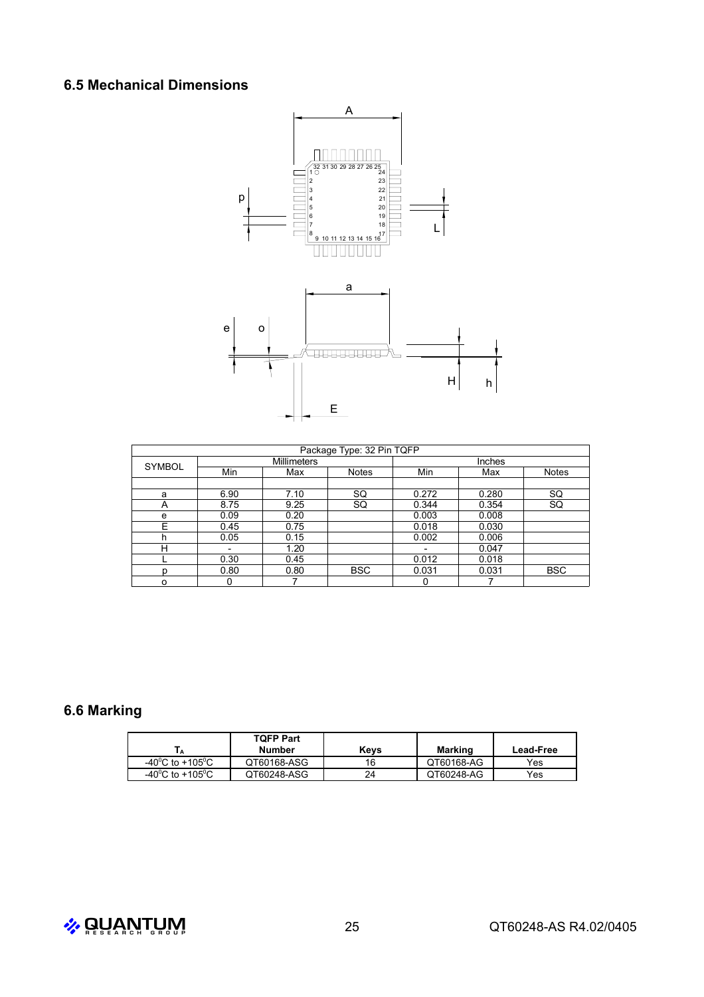## **6.5 Mechanical Dimensions**



| Package Type: 32 Pin TQFP |             |      |              |        |       |            |  |
|---------------------------|-------------|------|--------------|--------|-------|------------|--|
| <b>SYMBOL</b>             | Millimeters |      |              | Inches |       |            |  |
|                           | Min         | Max  | <b>Notes</b> | Min    | Max   | Notes      |  |
|                           |             |      |              |        |       |            |  |
| a                         | 6.90        | 7.10 | SQ           | 0.272  | 0.280 | SQ         |  |
| А                         | 8.75        | 9.25 | SQ           | 0.344  | 0.354 | <b>SQ</b>  |  |
| e                         | 0.09        | 0.20 |              | 0.003  | 0.008 |            |  |
| E                         | 0.45        | 0.75 |              | 0.018  | 0.030 |            |  |
| h                         | 0.05        | 0.15 |              | 0.002  | 0.006 |            |  |
| н                         |             | 1.20 |              |        | 0.047 |            |  |
|                           | 0.30        | 0.45 |              | 0.012  | 0.018 |            |  |
| n                         | 0.80        | 0.80 | <b>BSC</b>   | 0.031  | 0.031 | <b>BSC</b> |  |
| ο                         | 0           |      |              |        |       |            |  |

# **6.6 Marking**

|                              | <b>TOFP Part</b><br>Number | Kevs | Marking    | <b>Lead-Free</b> |
|------------------------------|----------------------------|------|------------|------------------|
| -40°C to +105°C              | QT60168-ASG                | 16   | QT60168-AG | Yes              |
| -40 <sup>°</sup> C to +105°C | QT60248-ASG                | 24   | QT60248-AG | Yes              |

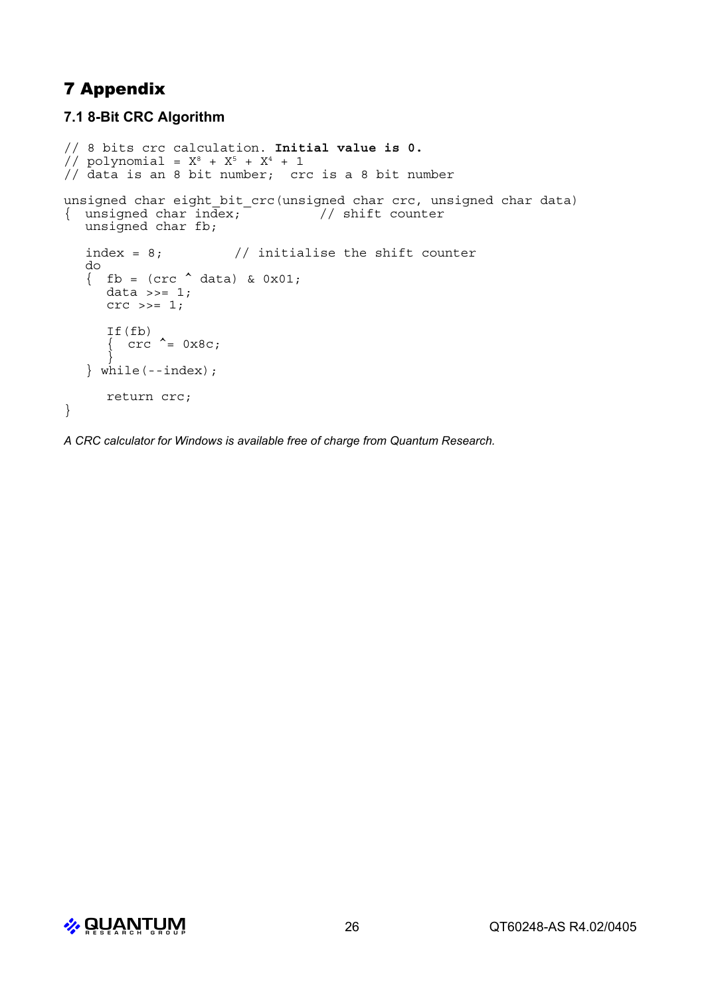# 7 Appendix

## **7.1 8-Bit CRC Algorithm**

```
// 8 bits crc calculation. Initial value is 0.
// polynomial = X^8 + X^5 + X^4 + 1// data is an 8 bit number; crc is a 8 bit number
unsigned char eight bit crc(unsigned char crc, unsigned char data)
\{ unsigned char index; \frac{1}{\sqrt{2}} // shift counter
  unsigned char fb;
  index = 8; \frac{1}{1} initialise the shift counter
  do
   \{ fb = (crc \land data) & 0x01;data >>= 1;crc >>= 1;
     If(fb)
      \int crc \uparrow = 0x8c;
      }
  \} while(--index);
     return crc;
}
```
*A CRC calculator for Windows is available free of charge from Quantum Research.*

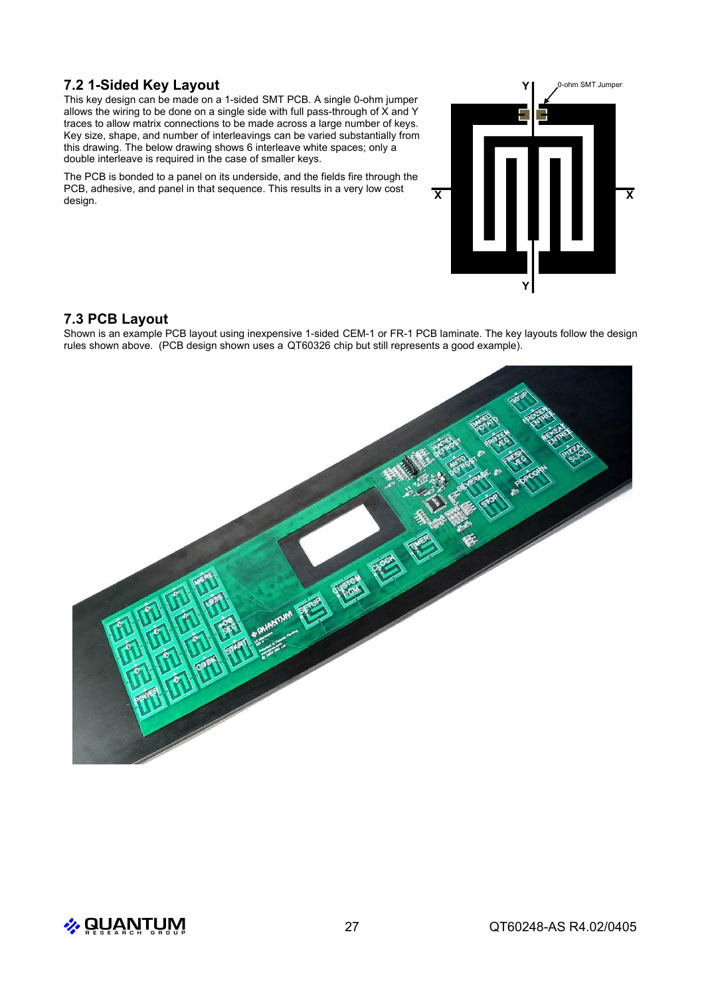## **7.2 1-Sided Key Layout**

This key design can be made on a 1-sided SMT PCB. A single 0-ohm jumper allows the wiring to be done on a single side with full pass-through of X and Y traces to allow matrix connections to be made across a large number of keys. Key size, shape, and number of interleavings can be varied substantially from this drawing. The below drawing shows 6 interleave white spaces; only a double interleave is required in the case of smaller keys.

The PCB is bonded to a panel on its underside, and the fields fire through the PCB, adhesive, and panel in that sequence. This results in a very low cost design.

# **X Y X Y** 0-ohm SMT Jumper

## **7.3 PCB Layout**

Shown is an example PCB layout using inexpensive 1-sided CEM-1 or FR-1 PCB laminate. The key layouts follow the design rules shown above. (PCB design shown uses a QT60326 chip but still represents a good example).



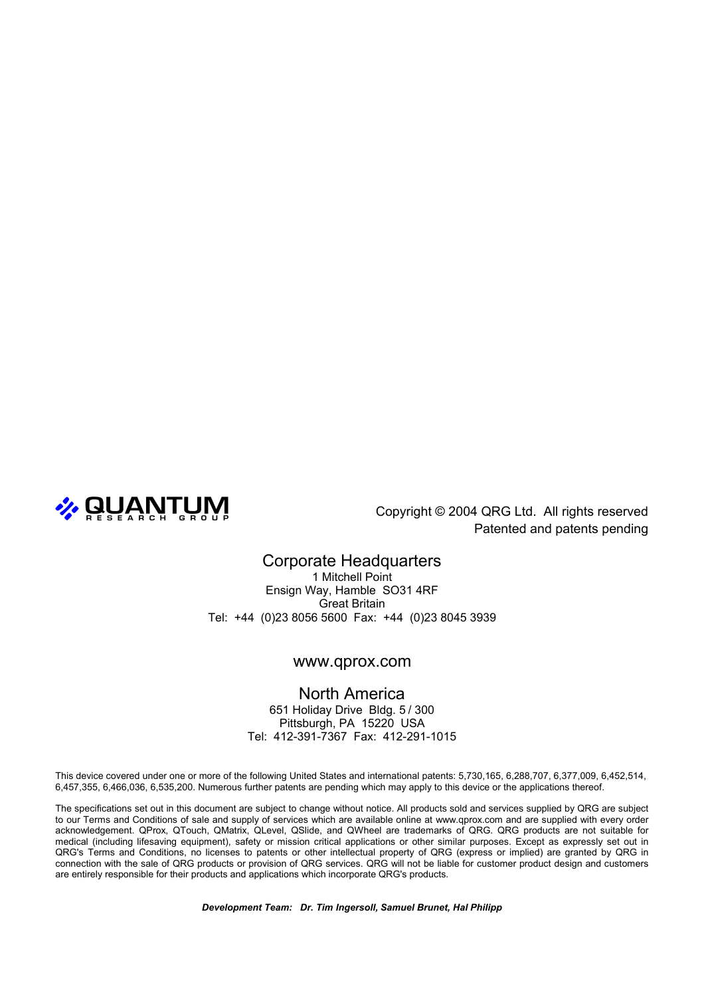

Patented and patents pending

## Corporate Headquarters

1 Mitchell Point Ensign Way, Hamble SO31 4RF Great Britain Tel: +44 (0)23 8056 5600 Fax: +44 (0)23 8045 3939

#### www.qprox.com

North America 651 Holiday Drive Bldg. 5 / 300 Pittsburgh, PA 15220 USA Tel: 412-391-7367 Fax: 412-291-1015

This device covered under one or more of the following United States and international patents: 5,730,165, 6,288,707, 6,377,009, 6,452,514, 6,457,355, 6,466,036, 6,535,200. Numerous further patents are pending which may apply to this device or the applications thereof.

The specifications set out in this document are subject to change without notice. All products sold and services supplied by QRG are subject to our Terms and Conditions of sale and supply of services which are available online at www.qprox.com and are supplied with every order acknowledgement. QProx, QTouch, QMatrix, QLevel, QSlide, and QWheel are trademarks of QRG. QRG products are not suitable for medical (including lifesaving equipment), safety or mission critical applications or other similar purposes. Except as expressly set out in QRG's Terms and Conditions, no licenses to patents or other intellectual property of QRG (express or implied) are granted by QRG in connection with the sale of QRG products or provision of QRG services. QRG will not be liable for customer product design and customers are entirely responsible for their products and applications which incorporate QRG's products.

*Development Team: Dr. Tim Ingersoll, Samuel Brunet, Hal Philipp*